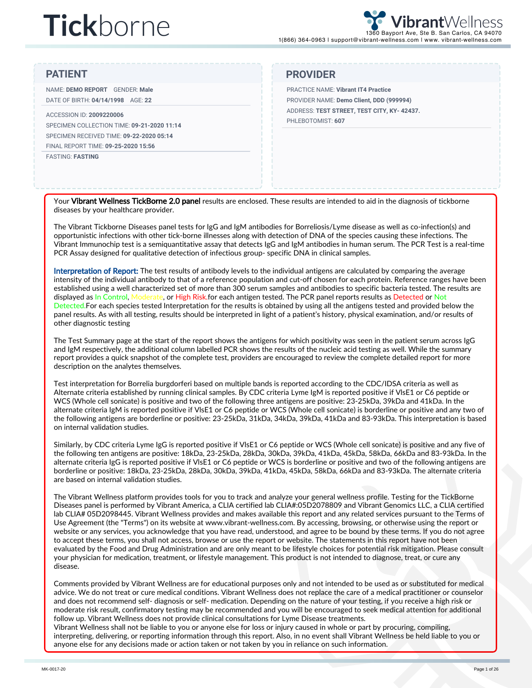NAME: **DEMO REPORT** GENDER: **Male** DATE OF BIRTH: **04/14/1998** AGE: **22**

#### ACCESSION ID: **2009220006** SPECIMEN COLLECTION TIME: **09-21-2020 11:14** SPECIMEN RECEIVED TIME: **09-22-2020 05:14** FINAL REPORT TIME: **09-25-2020 15:56**

FASTING: **FASTING**

#### **PATIENT PROVIDER**

PRACTICE NAME: **Vibrant IT4 Practice** PROVIDER NAME: **Demo Client, DDD (999994)** ADDRESS: **TEST STREET, TEST CITY, KY- 42437.** PHLEBOTOMIST: **607**

Your Vibrant Wellness TickBorne 2.0 panel results are enclosed. These results are intended to aid in the diagnosis of tickborne diseases by your healthcare provider.

The Vibrant Tickborne Diseases panel tests for IgG and IgM antibodies for Borreliosis/Lyme disease as well as co-infection(s) and opportunistic infections with other tick-borne illnesses along with detection of DNA of the species causing these infections. The Vibrant Immunochip test is a semiquantitative assay that detects IgG and IgM antibodies in human serum. The PCR Test is a real-time PCR Assay designed for qualitative detection of infectious group- specific DNA in clinical samples.

Interpretation of Report: The test results of antibody levels to the individual antigens are calculated by comparing the average intensity of the individual antibody to that of a reference population and cut-off chosen for each protein. Reference ranges have been established using a well characterized set of more than 300 serum samples and antibodies to specific bacteria tested. The results are displayed as In Control, Moderate, or High Risk.for each antigen tested. The PCR panel reports results as Detected or Not Detected.For each species tested Interpretation for the results is obtained by using all the antigens tested and provided below the panel results. As with all testing, results should be interpreted in light of a patient's history, physical examination, and/or results of other diagnostic testing

The Test Summary page at the start of the report shows the antigens for which positivity was seen in the patient serum across IgG and IgM respectively, the additional column labelled PCR shows the results of the nucleic acid testing as well. While the summary report provides a quick snapshot of the complete test, providers are encouraged to review the complete detailed report for more description on the analytes themselves.

Test interpretation for Borrelia burgdorferi based on multiple bands is reported according to the CDC/IDSA criteria as well as Alternate criteria established by running clinical samples. By CDC criteria Lyme IgM is reported positive if VlsE1 or C6 peptide or WCS (Whole cell sonicate) is positive and two of the following three antigens are positive: 23-25kDa, 39kDa and 41kDa. In the alternate criteria IgM is reported positive if VlsE1 or C6 peptide or WCS (Whole cell sonicate) is borderline or positive and any two of the following antigens are borderline or positive: 23-25kDa, 31kDa, 34kDa, 39kDa, 41kDa and 83-93kDa. This interpretation is based on internal validation studies.

Similarly, by CDC criteria Lyme IgG is reported positive if VlsE1 or C6 peptide or WCS (Whole cell sonicate) is positive and any five of the following ten antigens are positive: 18kDa, 23-25kDa, 28kDa, 30kDa, 39kDa, 41kDa, 45kDa, 58kDa, 66kDa and 83-93kDa. In the alternate criteria IgG is reported positive if VlsE1 or C6 peptide or WCS is borderline or positive and two of the following antigens are borderline or positive: 18kDa, 23-25kDa, 28kDa, 30kDa, 39kDa, 41kDa, 45kDa, 58kDa, 66kDa and 83-93kDa. The alternate criteria are based on internal validation studies.

The Vibrant Wellness platform provides tools for you to track and analyze your general wellness profile. Testing for the TickBorne Diseases panel is performed by Vibrant America, a CLIA certified lab CLIA#:05D2078809 and Vibrant Genomics LLC, a CLIA certified lab CLIA# 05D2098445. Vibrant Wellness provides and makes available this report and any related services pursuant to the Terms of Use Agreement (the "Terms") on its website at www.vibrant-wellness.com. By accessing, browsing, or otherwise using the report or website or any services, you acknowledge that you have read, understood, and agree to be bound by these terms. If you do not agree to accept these terms, you shall not access, browse or use the report or website. The statements in this report have not been evaluated by the Food and Drug Administration and are only meant to be lifestyle choices for potential risk mitigation. Please consult your physician for medication, treatment, or lifestyle management. This product is not intended to diagnose, treat, or cure any disease.

Comments provided by Vibrant Wellness are for educational purposes only and not intended to be used as or substituted for medical advice. We do not treat or cure medical conditions. Vibrant Wellness does not replace the care of a medical practitioner or counselor and does not recommend self- diagnosis or self- medication. Depending on the nature of your testing, if you receive a high risk or moderate risk result, confirmatory testing may be recommended and you will be encouraged to seek medical attention for additional follow up. Vibrant Wellness does not provide clinical consultations for Lyme Disease treatments.

Vibrant Wellness shall not be liable to you or anyone else for loss or injury caused in whole or part by procuring, compiling, interpreting, delivering, or reporting information through this report. Also, in no event shall Vibrant Wellness be held liable to you or anyone else for any decisions made or action taken or not taken by you in reliance on such information.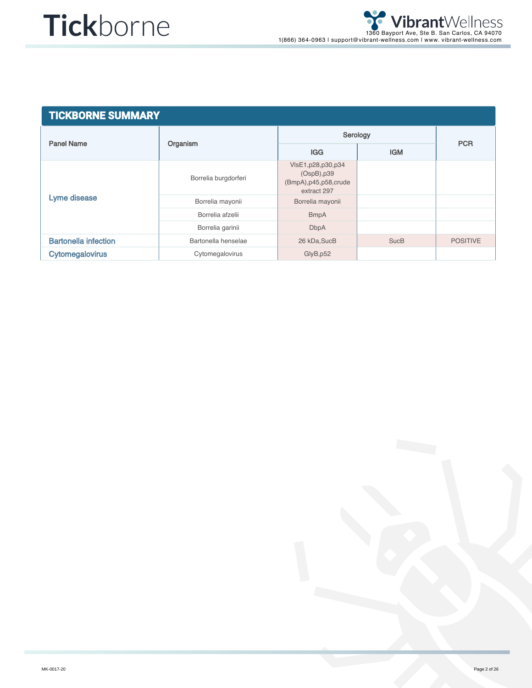| <b>TICKBORNE SUMMARY</b>    |                      |                                                                               |             |                 |  |  |  |
|-----------------------------|----------------------|-------------------------------------------------------------------------------|-------------|-----------------|--|--|--|
|                             |                      | Serology                                                                      |             |                 |  |  |  |
| <b>Panel Name</b>           | Organism             | <b>IGG</b>                                                                    | <b>IGM</b>  | <b>PCR</b>      |  |  |  |
|                             | Borrelia burgdorferi | VIsE1, p28, p30, p34<br>(OspB), p39<br>(BmpA), p45, p58, crude<br>extract 297 |             |                 |  |  |  |
| Lyme disease                | Borrelia mayonii     | Borrelia mayonii                                                              |             |                 |  |  |  |
|                             | Borrelia afzelii     | <b>BmpA</b>                                                                   |             |                 |  |  |  |
|                             | Borrelia garinii     | <b>DbpA</b>                                                                   |             |                 |  |  |  |
| <b>Bartonella infection</b> | Bartonella henselae  | 26 kDa, SucB                                                                  | <b>SucB</b> | <b>POSITIVE</b> |  |  |  |
| <b>Cytomegalovirus</b>      | Cytomegalovirus      | GlyB, p52                                                                     |             |                 |  |  |  |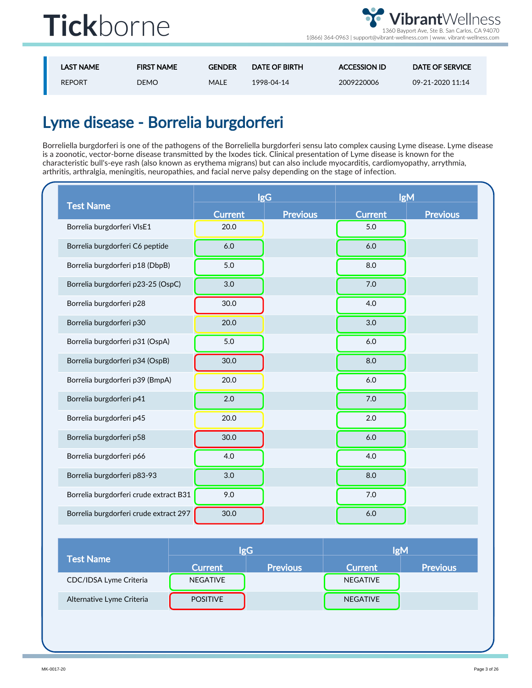

1(866) 364-0963 | support@vibrant-wellness.com | www. vibrant-wellness.com

| <b>LAST NAME</b> | <b>FIRST NAME</b> | <b>GENDER</b> | <b>DATE OF BIRTH</b> | <b>ACCESSION ID</b> | <b>DATE OF SERVICE</b> |
|------------------|-------------------|---------------|----------------------|---------------------|------------------------|
| <b>REPORT</b>    | <b>DEMO</b>       | <b>MALE</b>   | 1998-04-14           | 2009220006          | 09-21-2020 11:14       |

### Lyme disease - Borrelia burgdorferi

Borreliella burgdorferi is one of the pathogens of the Borreliella burgdorferi sensu lato complex causing Lyme disease. Lyme disease is a zoonotic, vector-borne disease transmitted by the Ixodes tick. Clinical presentation of Lyme disease is known for the characteristic bull's-eye rash (also known as erythema migrans) but can also include myocarditis, cardiomyopathy, arrythmia, arthritis, arthralgia, meningitis, neuropathies, and facial nerve palsy depending on the stage of infection.

|                                        |                | <b>IgG</b>      | <b>IgM</b>     |                 |
|----------------------------------------|----------------|-----------------|----------------|-----------------|
| <b>Test Name</b>                       | <b>Current</b> | <b>Previous</b> | <b>Current</b> | <b>Previous</b> |
| Borrelia burgdorferi VIsE1             | 20.0           |                 | 5.0            |                 |
| Borrelia burgdorferi C6 peptide        | 6.0            |                 | 6.0            |                 |
| Borrelia burgdorferi p18 (DbpB)        | 5.0            |                 | 8.0            |                 |
| Borrelia burgdorferi p23-25 (OspC)     | 3.0            |                 | 7.0            |                 |
| Borrelia burgdorferi p28               | 30.0           |                 | 4.0            |                 |
| Borrelia burgdorferi p30               | 20.0           |                 | 3.0            |                 |
| Borrelia burgdorferi p31 (OspA)        | 5.0            |                 | 6.0            |                 |
| Borrelia burgdorferi p34 (OspB)        | 30.0           |                 | 8.0            |                 |
| Borrelia burgdorferi p39 (BmpA)        | 20.0           |                 | 6.0            |                 |
| Borrelia burgdorferi p41               | 2.0            |                 | 7.0            |                 |
| Borrelia burgdorferi p45               | 20.0           |                 | 2.0            |                 |
| Borrelia burgdorferi p58               | 30.0           |                 | $6.0$          |                 |
| Borrelia burgdorferi p66               | 4.0            |                 | 4.0            |                 |
| Borrelia burgdorferi p83-93            | 3.0            |                 | 8.0            |                 |
| Borrelia burgdorferi crude extract B31 | 9.0            |                 | 7.0            |                 |
| Borrelia burgdorferi crude extract 297 | 30.0           |                 | 6.0            |                 |

|                           |                 | lgG             | <b>IgM</b>      |                 |  |
|---------------------------|-----------------|-----------------|-----------------|-----------------|--|
| <b>Test Name</b>          | <b>Current</b>  | <b>Previous</b> | <b>Current</b>  | <b>Previous</b> |  |
| CDC/IDSA Lyme Criteria    | <b>NEGATIVE</b> |                 | <b>NEGATIVE</b> |                 |  |
| Alternative Lyme Criteria | <b>POSITIVE</b> |                 | <b>NEGATIVE</b> |                 |  |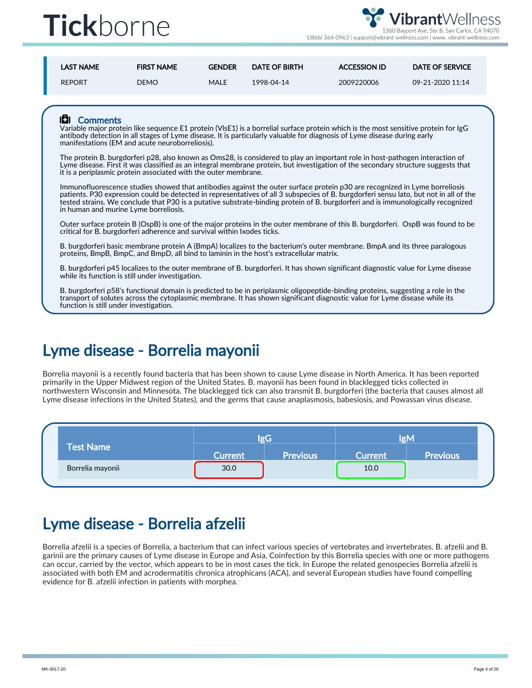

1(866) 364-0963 | support@vibrant-wellness.com | www. vibrant-wellness.com

| <b>LAST NAME</b> | <b>FIRST NAME</b> | <b>GENDER</b> | <b>DATE OF BIRTH</b> | <b>ACCESSION ID</b> | <b>DATE OF SERVICE</b> |
|------------------|-------------------|---------------|----------------------|---------------------|------------------------|
| <b>REPORT</b>    | DEMO.             | MALE          | 1998-04-14           | 2009220006          | 09-21-2020 11:14       |

#### **IEI** Comments

Variable major protein like sequence E1 protein (VlsE1) is a borrelial surface protein which is the most sensitive protein for IgG antibody detection in all stages of Lyme disease. It is particularly valuable for diagnosis of Lyme disease during early manifestations (EM and acute neuroborreliosis).

The protein B. burgdorferi p28, also known as Oms28, is considered to play an important role in host-pathogen interaction of Lyme disease. First it was classified as an integral membrane protein, but investigation of the secondary structure suggests that it is a periplasmic protein associated with the outer membrane.

Immunofluorescence studies showed that antibodies against the outer surface protein p30 are recognized in Lyme borreliosis patients. P30 expression could be detected in representatives of all 3 subspecies of B. burgdorferi sensu lato, but not in all of the tested strains. We conclude that P30 is a putative substrate-binding protein of B. burgdorferi and is immunologically recognized in human and murine Lyme borreliosis.

Outer surface protein B (OspB) is one of the major proteins in the outer membrane of this B. burgdorferi. OspB was found to be critical for B. burgdorferi adherence and survival within Ixodes ticks.

B. burgdorferi basic membrane protein A (BmpA) localizes to the bacterium's outer membrane. BmpA and its three paralogous proteins, BmpB, BmpC, and BmpD, all bind to laminin in the host's extracellular matrix.

B. burgdorferi p45 localizes to the outer membrane of B. burgdorferi. It has shown significant diagnostic value for Lyme disease while its function is still under investigation.

B. burgdorferi p58's functional domain is predicted to be in periplasmic oligopeptide-binding proteins, suggesting a role in the transport of solutes across the cytoplasmic membrane. It has shown significant diagnostic value for Lyme disease while its function is still under investigation.

#### Lyme disease - Borrelia mayonii

Borrelia mayonii is a recently found bacteria that has been shown to cause Lyme disease in North America. It has been reported primarily in the Upper Midwest region of the United States. B. mayonii has been found in blacklegged ticks collected in northwestern Wisconsin and Minnesota. The blacklegged tick can also transmit B. burgdorferi (the bacteria that causes almost all Lyme disease infections in the United States), and the germs that cause anaplasmosis, babesiosis, and Powassan virus disease.

|                  | lo C                 |                 | loM            |                 |
|------------------|----------------------|-----------------|----------------|-----------------|
| <b>Test Name</b> | Current <sup>1</sup> | <b>Previous</b> | <b>Current</b> | <b>Previous</b> |
| Borrelia mayonii | 30.0                 |                 | 10.0           |                 |

#### Lyme disease - Borrelia afzelii

Borrelia afzelii is a species of Borrelia, a bacterium that can infect various species of vertebrates and invertebrates. B. afzelii and B. garinii are the primary causes of Lyme disease in Europe and Asia. Coinfection by this Borrelia species with one or more pathogens can occur, carried by the vector, which appears to be in most cases the tick. In Europe the related genospecies Borrelia afzelii is associated with both EM and acrodermatitis chronica atrophicans (ACA), and several European studies have found compelling evidence for B. afzelii infection in patients with morphea.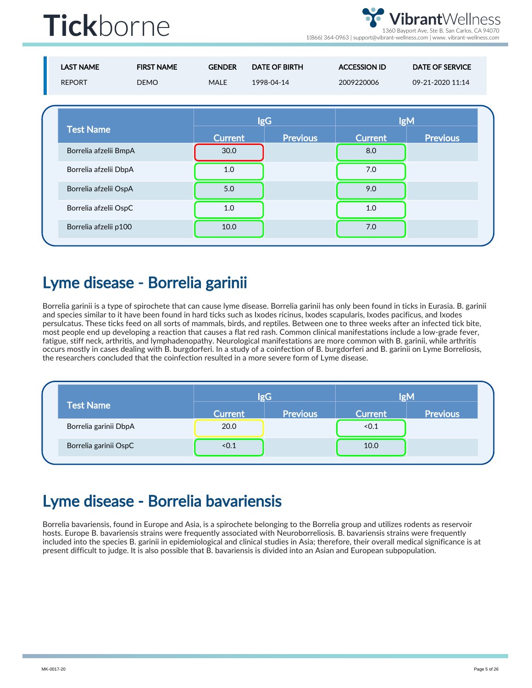brantWellness 1360 Bayport Ave, Ste B. San Carlos, CA 94070

1(866) 364-0963 | support@vibrant-wellness.com | www. vibrant-wellness.com

| <b>LAST NAME</b><br><b>REPORT</b> | <b>FIRST NAME</b><br><b>DEMO</b> | <b>GENDER</b><br><b>MALE</b> | <b>DATE OF BIRTH</b><br>1998-04-14 | <b>ACCESSION ID</b><br>2009220006 | <b>DATE OF SERVICE</b><br>09-21-2020 11:14 |  |
|-----------------------------------|----------------------------------|------------------------------|------------------------------------|-----------------------------------|--------------------------------------------|--|
| <b>Test Name</b>                  |                                  | <b>Current</b>               | <b>IgG</b><br><b>Previous</b>      | <b>Current</b>                    | <b>IgM</b><br><b>Previous</b>              |  |
| Borrelia afzelii BmpA             |                                  | 30.0                         |                                    | 8.0                               |                                            |  |
| Borrelia afzelii DbpA             |                                  | 1.0                          |                                    | 7.0                               |                                            |  |
| Borrelia afzelii OspA             |                                  | 5.0                          |                                    | 9.0                               |                                            |  |
| Borrelia afzelii OspC             |                                  | 1.0                          |                                    | 1.0                               |                                            |  |
| Borrelia afzelii p100             |                                  | 10.0                         |                                    | 7.0                               |                                            |  |

#### Lyme disease - Borrelia garinii

Borrelia garinii is a type of spirochete that can cause lyme disease. Borrelia garinii has only been found in ticks in Eurasia. B. garinii and species similar to it have been found in hard ticks such as Ixodes ricinus, Ixodes scapularis, Ixodes pacificus, and Ixodes persulcatus. These ticks feed on all sorts of mammals, birds, and reptiles. Between one to three weeks after an infected tick bite, most people end up developing a reaction that causes a flat red rash. Common clinical manifestations include a low-grade fever, fatigue, stiff neck, arthritis, and lymphadenopathy. Neurological manifestations are more common with B. garinii, while arthritis occurs mostly in cases dealing with B. burgdorferi. In a study of a coinfection of B. burgdorferi and B. garinii on Lyme Borreliosis, the researchers concluded that the coinfection resulted in a more severe form of Lyme disease.

|                       |                | lgG             | <b>IgM</b>     |                 |  |
|-----------------------|----------------|-----------------|----------------|-----------------|--|
| <b>Test Name</b>      | <b>Current</b> | <b>Previous</b> | <b>Current</b> | <b>Previous</b> |  |
| Borrelia garinii DbpA | 20.0           |                 | < 0.1          |                 |  |
| Borrelia garinii OspC | < 0.1          |                 | 10.0           |                 |  |

### Lyme disease - Borrelia bavariensis

Borrelia bavariensis, found in Europe and Asia, is a spirochete belonging to the Borrelia group and utilizes rodents as reservoir hosts. Europe B. bavariensis strains were frequently associated with Neuroborreliosis. B. bavariensis strains were frequently included into the species B. garinii in epidemiological and clinical studies in Asia; therefore, their overall medical significance is at present difficult to judge. It is also possible that B. bavariensis is divided into an Asian and European subpopulation.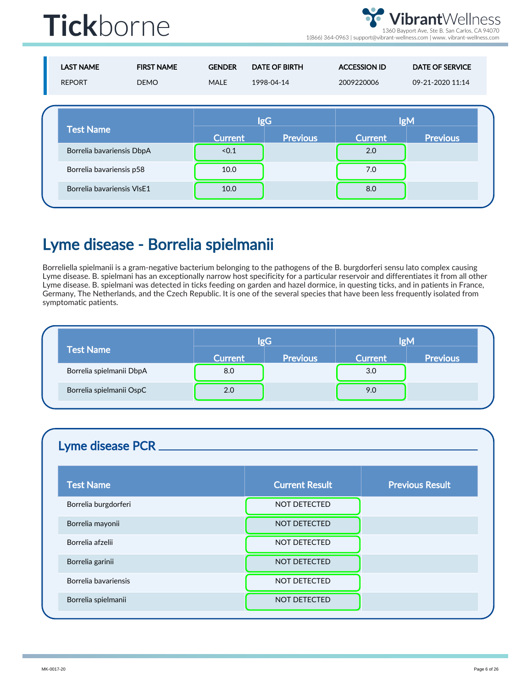ibrantWellness 1360 Bayport Ave, Ste B. San Carlos, CA 94070

1(866) 364-0963 | support@vibrant-wellness.com | www. vibrant-wellness.com

|  | <b>LAST NAME</b><br><b>REPORT</b> | <b>FIRST NAME</b><br><b>DEMO</b> | <b>GENDER</b><br><b>MALE</b> | <b>DATE OF BIRTH</b><br>1998-04-14 | <b>ACCESSION ID</b><br>2009220006 | <b>DATE OF SERVICE</b><br>09-21-2020 11:14 |
|--|-----------------------------------|----------------------------------|------------------------------|------------------------------------|-----------------------------------|--------------------------------------------|
|  | <b>Test Name</b>                  |                                  | <b>IgG</b>                   |                                    | <b>IgM</b>                        |                                            |
|  |                                   |                                  | <b>Current</b>               | <b>Previous</b>                    | <b>Current</b>                    | <b>Previous</b>                            |
|  | Borrelia bavariensis DbpA         |                                  | < 0.1                        |                                    | 2.0                               |                                            |
|  | Borrelia bavariensis p58          |                                  | 10.0                         |                                    | 7.0                               |                                            |
|  | Borrelia bavariensis VIsE1        |                                  | 10.0                         |                                    | 8.0                               |                                            |
|  |                                   |                                  |                              |                                    |                                   |                                            |

#### Lyme disease - Borrelia spielmanii

Borreliella spielmanii is a gram-negative bacterium belonging to the pathogens of the B. burgdorferi sensu lato complex causing Lyme disease. B. spielmani has an exceptionally narrow host specificity for a particular reservoir and differentiates it from all other Lyme disease. B. spielmani was detected in ticks feeding on garden and hazel dormice, in questing ticks, and in patients in France, Germany, The Netherlands, and the Czech Republic. It is one of the several species that have been less frequently isolated from symptomatic patients.

|                          |                | lgG             | <b>IgM</b>     |                 |  |
|--------------------------|----------------|-----------------|----------------|-----------------|--|
| <b>Test Name</b>         | <b>Current</b> | <b>Previous</b> | <b>Current</b> | <b>Previous</b> |  |
| Borrelia spielmanii DbpA | 8.0            |                 | 3.0            |                 |  |
| Borrelia spielmanii OspC | 2.0            |                 | 9.0            |                 |  |

#### Lyme disease PCR

| <b>Test Name</b>     | <b>Current Result</b> | <b>Previous Result</b> |
|----------------------|-----------------------|------------------------|
| Borrelia burgdorferi | <b>NOT DETECTED</b>   |                        |
| Borrelia mayonii     | <b>NOT DETECTED</b>   |                        |
| Borrelia afzelii     | <b>NOT DETECTED</b>   |                        |
| Borrelia garinii     | <b>NOT DETECTED</b>   |                        |
| Borrelia bavariensis | <b>NOT DETECTED</b>   |                        |
| Borrelia spielmanii  | <b>NOT DETECTED</b>   |                        |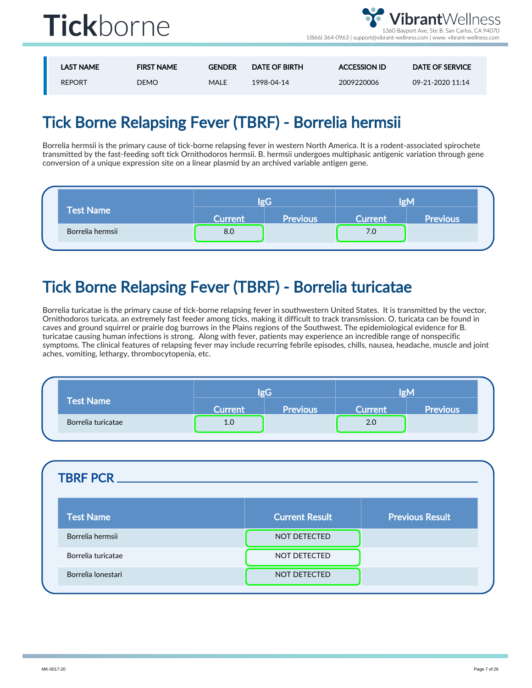

| <b>LAST NAME</b> | <b>FIRST NAME</b> | <b>GENDER</b> | <b>DATE OF BIRTH</b> | <b>ACCESSION ID</b> | DATE OF SERVICE  |
|------------------|-------------------|---------------|----------------------|---------------------|------------------|
| <b>REPORT</b>    | <b>DEMO</b>       | MALE          | 1998-04-14           | 2009220006          | 09-21-2020 11:14 |

### Tick Borne Relapsing Fever (TBRF) - Borrelia hermsii

Borrelia hermsii is the primary cause of tick-borne relapsing fever in western North America. It is a rodent-associated spirochete transmitted by the fast-feeding soft tick Ornithodoros hermsii. B. hermsii undergoes multiphasic antigenic variation through gene conversion of a unique expression site on a linear plasmid by an archived variable antigen gene.

|                  |                | løG             | løM            |                 |  |
|------------------|----------------|-----------------|----------------|-----------------|--|
| <b>Test Name</b> | <b>Current</b> | <b>Previous</b> | <b>Current</b> | <b>Previous</b> |  |
| Borrelia hermsii | 8.0            |                 | 7.0            |                 |  |

### Tick Borne Relapsing Fever (TBRF) - Borrelia turicatae

Borrelia turicatae is the primary cause of tick-borne relapsing fever in southwestern United States. It is transmitted by the vector, Ornithodoros turicata, an extremely fast feeder among ticks, making it difficult to track transmission. O. turicata can be found in caves and ground squirrel or prairie dog burrows in the Plains regions of the Southwest. The epidemiological evidence for B. turicatae causing human infections is strong. Along with fever, patients may experience an incredible range of nonspecific symptoms. The clinical features of relapsing fever may include recurring febrile episodes, chills, nausea, headache, muscle and joint aches, vomiting, lethargy, thrombocytopenia, etc.

|                    | $\sigma G$     |                 | løM            |                 |  |
|--------------------|----------------|-----------------|----------------|-----------------|--|
| <b>Test Name</b>   | <b>Current</b> | <b>Previous</b> | <b>Current</b> | <b>Previous</b> |  |
| Borrelia turicatae | 1.0            |                 | 2.0            |                 |  |

| <b>TBRF PCR.</b>   |                       |                        |
|--------------------|-----------------------|------------------------|
| <b>Test Name</b>   | <b>Current Result</b> | <b>Previous Result</b> |
| Borrelia hermsii   | <b>NOT DETECTED</b>   |                        |
| Borrelia turicatae | NOT DETECTED          |                        |
| Borrelia lonestari | NOT DETECTED          |                        |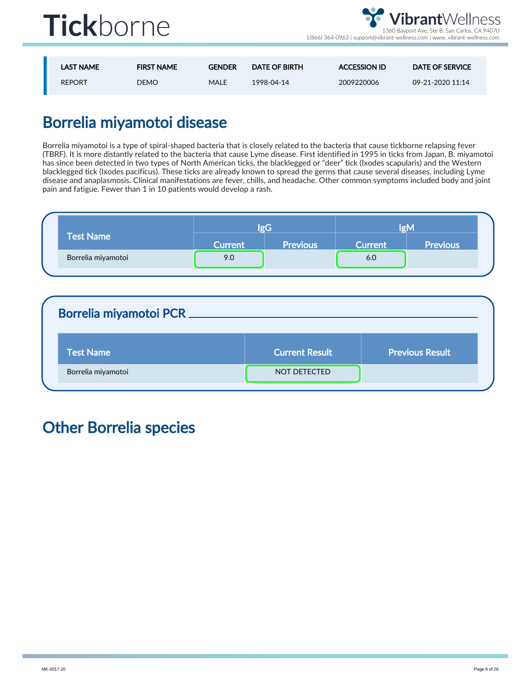

| <b>LAST NAME</b> | <b>FIRST NAME</b> | <b>GENDER</b> | <b>DATE OF BIRTH</b> | <b>ACCESSION ID</b> | <b>DATE OF SERVICE</b> |
|------------------|-------------------|---------------|----------------------|---------------------|------------------------|
| <b>REPORT</b>    | <b>DEMO</b>       | MALE          | 1998-04-14           | 2009220006          | 09-21-2020 11:14       |

### Borrelia miyamotoi disease

Borrelia miyamotoi is a type of spiral-shaped bacteria that is closely related to the bacteria that cause tickborne relapsing fever (TBRF). It is more distantly related to the bacteria that cause Lyme disease. First identified in 1995 in ticks from Japan, B. miyamotoi has since been detected in two types of North American ticks, the blacklegged or "deer" tick (Ixodes scapularis) and the Western blacklegged tick (Ixodes pacificus). These ticks are already known to spread the germs that cause several diseases, including Lyme disease and anaplasmosis. Clinical manifestations are fever, chills, and headache. Other common symptoms included body and joint pain and fatigue. Fewer than 1 in 10 patients would develop a rash.

|                    | lgC            |                 | <b>IOM</b>     |                 |
|--------------------|----------------|-----------------|----------------|-----------------|
| <b>Test Name</b>   | <b>Current</b> | <b>Previous</b> | <b>Current</b> | <b>Previous</b> |
| Borrelia miyamotoi | 9.0            |                 | 6.0            |                 |

| <b>Borrelia miyamotoi PCR.</b> |                       |                        |
|--------------------------------|-----------------------|------------------------|
| <b>Test Name</b>               | <b>Current Result</b> | <b>Previous Result</b> |
| Borrelia miyamotoi             | <b>NOT DETECTED</b>   |                        |

### Other Borrelia species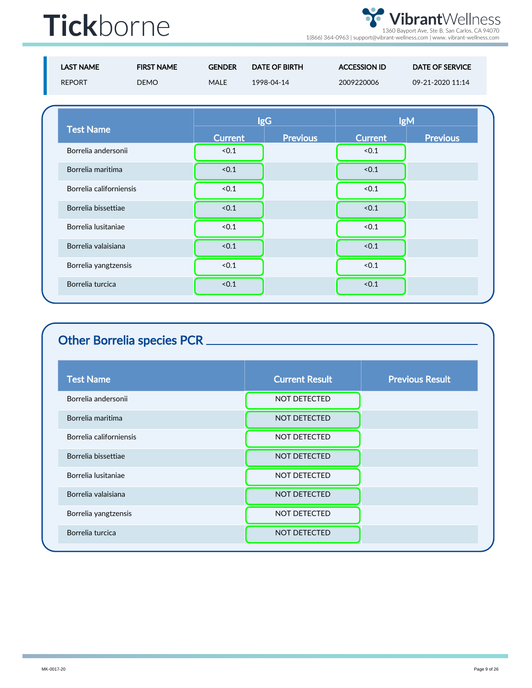VibrantWellness 1360 Bayport Ave, Ste B. San Carlos, CA 94070 1(866) 364-0963 | support@vibrant-wellness.com | www. vibrant-wellness.com

| <b>LAST NAME</b>        | <b>FIRST NAME</b> | <b>GENDER</b>  | <b>DATE OF BIRTH</b> | <b>ACCESSION ID</b> | <b>DATE OF SERVICE</b> |
|-------------------------|-------------------|----------------|----------------------|---------------------|------------------------|
| <b>REPORT</b>           | <b>DEMO</b>       | MALE           | 1998-04-14           | 2009220006          | 09-21-2020 11:14       |
|                         |                   |                |                      |                     |                        |
|                         |                   |                | <b>IgG</b>           |                     | <b>IgM</b>             |
| <b>Test Name</b>        |                   | <b>Current</b> | <b>Previous</b>      | <b>Current</b>      | <b>Previous</b>        |
| Borrelia andersonii     |                   | < 0.1          |                      | < 0.1               |                        |
| Borrelia maritima       |                   | < 0.1          |                      | < 0.1               |                        |
| Borrelia californiensis |                   | < 0.1          |                      | < 0.1               |                        |
| Borrelia bissettiae     |                   | < 0.1          |                      | < 0.1               |                        |
|                         |                   |                |                      |                     |                        |

| Borrelia lusitaniae  | < 0.1 | < 0.1 |  |
|----------------------|-------|-------|--|
| Borrelia valaisiana  | < 0.1 | < 0.1 |  |
| Borrelia yangtzensis | < 0.1 | < 0.1 |  |
| Borrelia turcica     | < 0.1 | < 0.1 |  |
|                      |       |       |  |

#### Other Borrelia species PCR

| <b>Test Name</b>        | <b>Current Result</b> | <b>Previous Result</b> |
|-------------------------|-----------------------|------------------------|
| Borrelia andersonii     | <b>NOT DETECTED</b>   |                        |
| Borrelia maritima       | <b>NOT DETECTED</b>   |                        |
| Borrelia californiensis | <b>NOT DETECTED</b>   |                        |
| Borrelia bissettiae     | <b>NOT DETECTED</b>   |                        |
| Borrelia lusitaniae     | <b>NOT DETECTED</b>   |                        |
| Borrelia valaisiana     | <b>NOT DETECTED</b>   |                        |
| Borrelia yangtzensis    | NOT DETECTED          |                        |
| Borrelia turcica        | <b>NOT DETECTED</b>   |                        |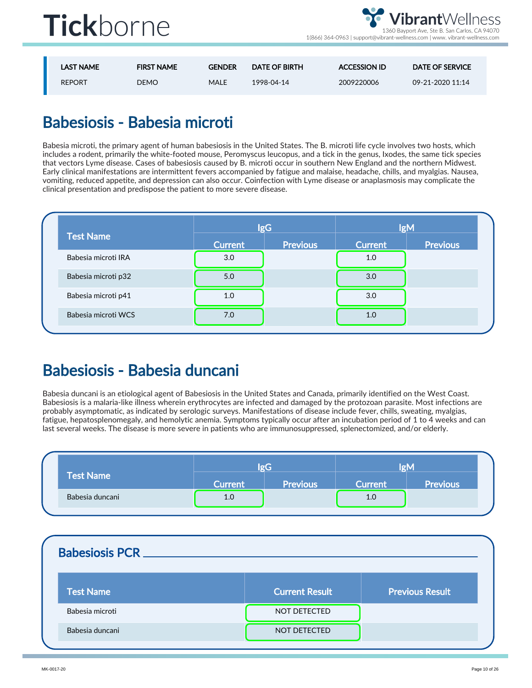

| <b>LAST NAME</b> | <b>FIRST NAME</b> | <b>GENDER</b> | <b>DATE OF BIRTH</b> | <b>ACCESSION ID</b> | DATE OF SERVICE  |
|------------------|-------------------|---------------|----------------------|---------------------|------------------|
| <b>REPORT</b>    | DEMO              | MALE          | 1998-04-14           | 2009220006          | 09-21-2020 11:14 |

### Babesiosis - Babesia microti

Babesia microti, the primary agent of human babesiosis in the United States. The B. microti life cycle involves two hosts, which includes a rodent, primarily the white-footed mouse, Peromyscus leucopus, and a tick in the genus, Ixodes, the same tick species that vectors Lyme disease. Cases of babesiosis caused by B. microti occur in southern New England and the northern Midwest. Early clinical manifestations are intermittent fevers accompanied by fatigue and malaise, headache, chills, and myalgias. Nausea, vomiting, reduced appetite, and depression can also occur. Coinfection with Lyme disease or anaplasmosis may complicate the clinical presentation and predispose the patient to more severe disease.

| <b>Test Name</b>    | <b>IgG</b>     |                 | <b>IgM</b>     |                 |
|---------------------|----------------|-----------------|----------------|-----------------|
|                     | <b>Current</b> | <b>Previous</b> | <b>Current</b> | <b>Previous</b> |
| Babesia microti IRA | 3.0            |                 | 1.0            |                 |
| Babesia microti p32 | 5.0            |                 | 3.0            |                 |
| Babesia microti p41 | 1.0            |                 | 3.0            |                 |
| Babesia microti WCS | 7.0            |                 | 1.0            |                 |

#### Babesiosis - Babesia duncani

Babesia duncani is an etiological agent of Babesiosis in the United States and Canada, primarily identified on the West Coast. Babesiosis is a malaria-like illness wherein erythrocytes are infected and damaged by the protozoan parasite. Most infections are probably asymptomatic, as indicated by serologic surveys. Manifestations of disease include fever, chills, sweating, myalgias, fatigue, hepatosplenomegaly, and hemolytic anemia. Symptoms typically occur after an incubation period of 1 to 4 weeks and can last several weeks. The disease is more severe in patients who are immunosuppressed, splenectomized, and/or elderly.

|                  |                | $\sigma G$      | løM            |                 |  |
|------------------|----------------|-----------------|----------------|-----------------|--|
| <b>Test Name</b> | <b>Current</b> | <b>Previous</b> | <b>Current</b> | <b>Previous</b> |  |
| Babesia duncani  | 1.0            |                 | 1.0            |                 |  |

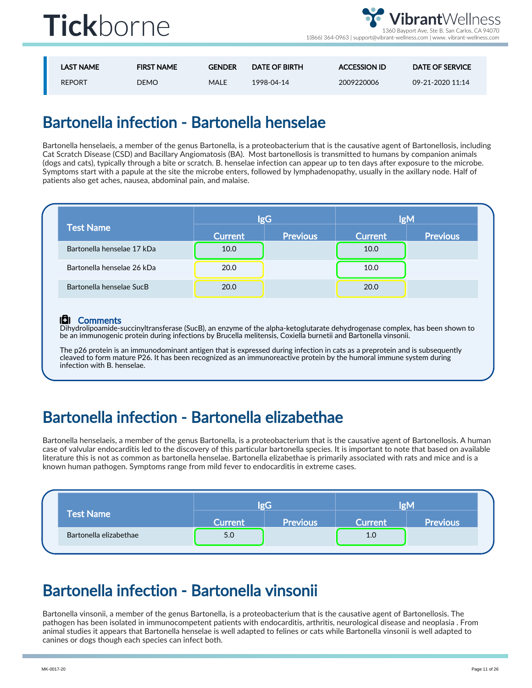

1(866) 364-0963 | support@vibrant-wellness.com | www. vibrant-wellness.com

| <b>LAST NAME</b> | <b>FIRST NAME</b> | <b>GENDER</b> | <b>DATE OF BIRTH</b> | <b>ACCESSION ID</b> | <b>DATE OF SERVICE</b> |
|------------------|-------------------|---------------|----------------------|---------------------|------------------------|
| <b>REPORT</b>    | <b>DEMO</b>       | MALE          | 1998-04-14           | 2009220006          | 09-21-2020 11:14       |

#### Bartonella infection - Bartonella henselae

Bartonella henselaeis, a member of the genus Bartonella, is a proteobacterium that is the causative agent of Bartonellosis, including Cat Scratch Disease (CSD) and Bacillary Angiomatosis (BA). Most bartonellosis is transmitted to humans by companion animals (dogs and cats), typically through a bite or scratch. B. henselae infection can appear up to ten days after exposure to the microbe. Symptoms start with a papule at the site the microbe enters, followed by lymphadenopathy, usually in the axillary node. Half of patients also get aches, nausea, abdominal pain, and malaise.

|                            |                | <b>IgG</b>      | <b>IgM</b>     |                 |  |
|----------------------------|----------------|-----------------|----------------|-----------------|--|
| <b>Test Name</b>           | <b>Current</b> | <b>Previous</b> | <b>Current</b> | <b>Previous</b> |  |
| Bartonella henselae 17 kDa | 10.0           |                 | 10.0           |                 |  |
| Bartonella henselae 26 kDa | 20.0           |                 | 10.0           |                 |  |
| Bartonella henselae SucB   | 20.0           |                 | 20.0           |                 |  |

#### l**C**II Comments

Dihydrolipoamide-succinyltransferase (SucB), an enzyme of the alpha-ketoglutarate dehydrogenase complex, has been shown to be an immunogenic protein during infections by Brucella melitensis, Coxiella burnetii and Bartonella vinsonii.

The p26 protein is an immunodominant antigen that is expressed during infection in cats as a preprotein and is subsequently cleaved to form mature P26. It has been recognized as an immunoreactive protein by the humoral immune system during infection with B. henselae.

#### Bartonella infection - Bartonella elizabethae

Bartonella henselaeis, a member of the genus Bartonella, is a proteobacterium that is the causative agent of Bartonellosis. A human case of valvular endocarditis led to the discovery of this particular bartonella species. It is important to note that based on available literature this is not as common as bartonella henselae. Bartonella elizabethae is primarily associated with rats and mice and is a known human pathogen. Symptoms range from mild fever to endocarditis in extreme cases.

|  |                        |         | løG             | løM            |                 |  |
|--|------------------------|---------|-----------------|----------------|-----------------|--|
|  | <b>Test Name</b>       | Current | <b>Previous</b> | <b>Current</b> | <b>Previous</b> |  |
|  | Bartonella elizabethae | 5.0     |                 | 1.0            |                 |  |
|  |                        |         |                 |                |                 |  |

#### Bartonella infection - Bartonella vinsonii

Bartonella vinsonii, a member of the genus Bartonella, is a proteobacterium that is the causative agent of Bartonellosis. The pathogen has been isolated in immunocompetent patients with endocarditis, arthritis, neurological disease and neoplasia . From animal studies it appears that Bartonella henselae is well adapted to felines or cats while Bartonella vinsonii is well adapted to canines or dogs though each species can infect both.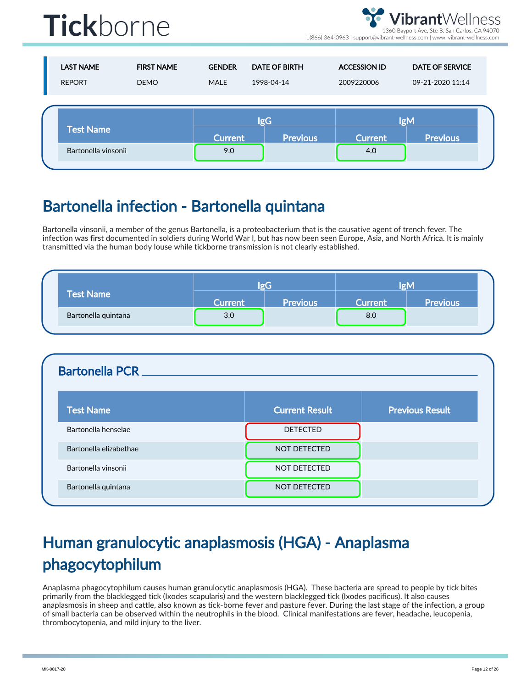

brantWellness ayport Ave, Ste B. San Carlos, CA 94070

1(866) 364-0963 | support@vibrant-wellness.com | www. vibrant-wellness.com

| <b>LAST NAME</b><br><b>REPORT</b> | <b>FIRST NAME</b><br><b>DEMO</b> | <b>GENDER</b><br><b>MALE</b> | <b>DATE OF BIRTH</b><br>1998-04-14 | <b>ACCESSION ID</b><br>2009220006 | <b>DATE OF SERVICE</b><br>09-21-2020 11:14 |
|-----------------------------------|----------------------------------|------------------------------|------------------------------------|-----------------------------------|--------------------------------------------|
| <b>Test Name</b>                  |                                  |                              | <b>IgG</b>                         |                                   | <b>IgM</b>                                 |
| Bartonella vinsonii               |                                  | <b>Current</b><br>9.0        | <b>Previous</b>                    | <b>Current</b><br>4.0             | <b>Previous</b>                            |

#### Bartonella infection - Bartonella quintana

Bartonella vinsonii, a member of the genus Bartonella, is a proteobacterium that is the causative agent of trench fever. The infection was first documented in soldiers during World War I, but has now been seen Europe, Asia, and North Africa. It is mainly transmitted via the human body louse while tickborne transmission is not clearly established.

|                     | $\sigma$ G |                 | ΙøΜ            |                 |
|---------------------|------------|-----------------|----------------|-----------------|
| <b>Test Name</b>    | Current    | <b>Previous</b> | <b>Current</b> | <b>Previous</b> |
| Bartonella quintana | 3.0        |                 | 8.0            |                 |

| <b>Bartonella PCR</b>  |                       |                        |
|------------------------|-----------------------|------------------------|
| <b>Test Name</b>       | <b>Current Result</b> | <b>Previous Result</b> |
| Bartonella henselae    | <b>DETECTED</b>       |                        |
| Bartonella elizabethae | <b>NOT DETECTED</b>   |                        |
| Bartonella vinsonii    | <b>NOT DETECTED</b>   |                        |
| Bartonella quintana    | NOT DETECTED          |                        |

### Human granulocytic anaplasmosis (HGA) - Anaplasma phagocytophilum

Anaplasma phagocytophilum causes human granulocytic anaplasmosis (HGA). These bacteria are spread to people by tick bites primarily from the blacklegged tick (Ixodes scapularis) and the western blacklegged tick (Ixodes pacificus). It also causes anaplasmosis in sheep and cattle, also known as tick-borne fever and pasture fever. During the last stage of the infection, a group of small bacteria can be observed within the neutrophils in the blood. Clinical manifestations are fever, headache, leucopenia, thrombocytopenia, and mild injury to the liver.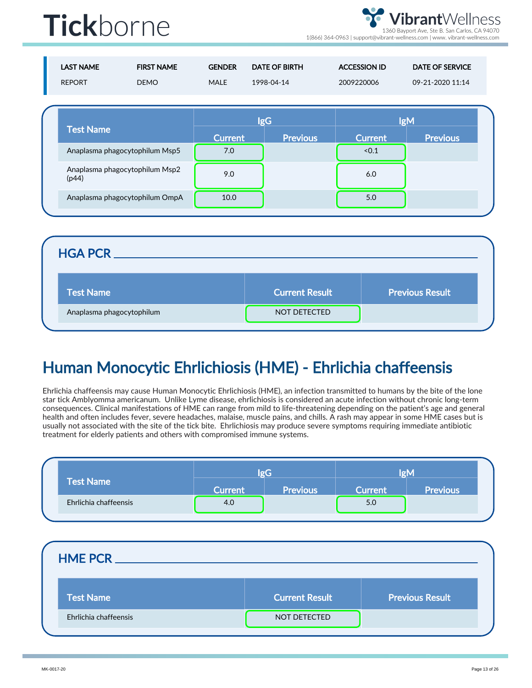**ibrant**Wellness 1360 Bayport Ave, Ste B. San Carlos, CA 94070

1(866) 364-0963 | support@vibrant-wellness.com | www. vibrant-wellness.com

| <b>LAST NAME</b><br><b>REPORT</b> | <b>FIRST NAME</b><br><b>DEMO</b> | <b>GENDER</b><br><b>MALE</b> | <b>DATE OF BIRTH</b><br>1998-04-14 | <b>ACCESSION ID</b><br>2009220006 | <b>DATE OF SERVICE</b><br>09-21-2020 11:14 |
|-----------------------------------|----------------------------------|------------------------------|------------------------------------|-----------------------------------|--------------------------------------------|
| <b>Test Name</b>                  |                                  | <b>Current</b>               | <b>IgG</b><br><b>Previous</b>      | <b>Current</b>                    | <b>IgM</b><br><b>Previous</b>              |
|                                   | Anaplasma phagocytophilum Msp5   | 7.0                          |                                    | < 0.1                             |                                            |
| (p44)                             | Anaplasma phagocytophilum Msp2   | 9.0                          |                                    | 6.0                               |                                            |
|                                   | Anaplasma phagocytophilum OmpA   | 10.0                         |                                    | 5.0                               |                                            |

| <b>Current Result</b> | <b>Previous Result</b> |
|-----------------------|------------------------|
| <b>NOT DETECTED</b>   |                        |
|                       |                        |

### Human Monocytic Ehrlichiosis (HME) - Ehrlichia chaffeensis

Ehrlichia chaffeensis may cause Human Monocytic Ehrlichiosis (HME), an infection transmitted to humans by the bite of the lone star tick Amblyomma americanum. Unlike Lyme disease, ehrlichiosis is considered an acute infection without chronic long-term consequences. Clinical manifestations of HME can range from mild to life-threatening depending on the patient's age and general health and often includes fever, severe headaches, malaise, muscle pains, and chills. A rash may appear in some HME cases but is usually not associated with the site of the tick bite. Ehrlichiosis may produce severe symptoms requiring immediate antibiotic treatment for elderly patients and others with compromised immune systems.

|                       | $\sigma G$     |                 | løM            |                 |
|-----------------------|----------------|-----------------|----------------|-----------------|
| <b>Test Name</b>      | <b>Current</b> | <b>Previous</b> | <b>Current</b> | <b>Previous</b> |
| Ehrlichia chaffeensis | 4.0            |                 | 5.0            |                 |

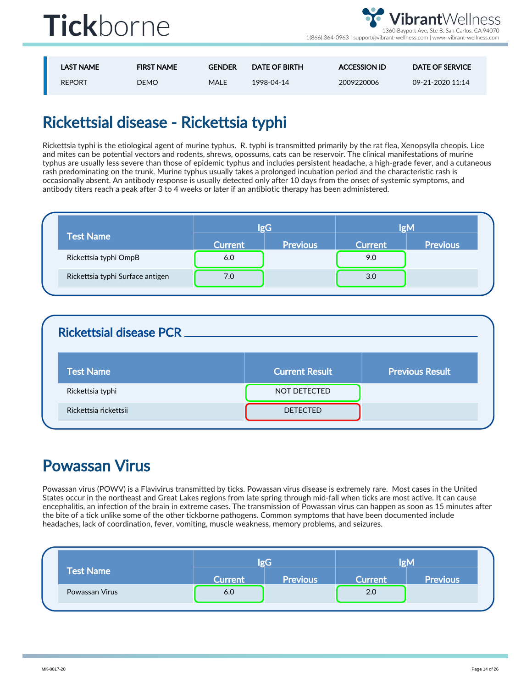

1(866) 364-0963 | support@vibrant-wellness.com | www. vibrant-wellness.com

| LAST NAME     | <b>FIRST NAME</b> | <b>GENDER</b> | <b>DATE OF BIRTH</b> | <b>ACCESSION ID</b> | <b>DATE OF SERVICE</b> |
|---------------|-------------------|---------------|----------------------|---------------------|------------------------|
| <b>REPORT</b> | DEMO              | MALE          | 1998-04-14           | 2009220006          | 09-21-2020 11:14       |

### Rickettsial disease - Rickettsia typhi

Rickettsia typhi is the etiological agent of murine typhus. R. typhi is transmitted primarily by the rat flea, Xenopsylla cheopis. Lice and mites can be potential vectors and rodents, shrews, opossums, cats can be reservoir. The clinical manifestations of murine typhus are usually less severe than those of epidemic typhus and includes persistent headache, a high-grade fever, and a cutaneous rash predominating on the trunk. Murine typhus usually takes a prolonged incubation period and the characteristic rash is occasionally absent. An antibody response is usually detected only after 10 days from the onset of systemic symptoms, and antibody titers reach a peak after 3 to 4 weeks or later if an antibiotic therapy has been administered.

|                                  |         | lgG             | <b>IgM</b>     |                 |  |
|----------------------------------|---------|-----------------|----------------|-----------------|--|
| <b>Test Name</b>                 | Current | <b>Previous</b> | <b>Current</b> | <b>Previous</b> |  |
| Rickettsia typhi OmpB            | 6.0     |                 | 9.0            |                 |  |
| Rickettsia typhi Surface antigen | 7.0     |                 | 3.0            |                 |  |

| <b>Rickettsial disease PCR _</b> |                       |                        |
|----------------------------------|-----------------------|------------------------|
| <b>Test Name</b>                 | <b>Current Result</b> | <b>Previous Result</b> |
| Rickettsia typhi                 | NOT DETECTED          |                        |
| Rickettsia rickettsii            | <b>DETECTED</b>       |                        |

#### Powassan Virus

Powassan virus (POWV) is a Flavivirus transmitted by ticks. Powassan virus disease is extremely rare. Most cases in the United States occur in the northeast and Great Lakes regions from late spring through mid-fall when ticks are most active. It can cause encephalitis, an infection of the brain in extreme cases. The transmission of Powassan virus can happen as soon as 15 minutes after the bite of a tick unlike some of the other tickborne pathogens. Common symptoms that have been documented include headaches, lack of coordination, fever, vomiting, muscle weakness, memory problems, and seizures.

|  |                  | $\sigma G$     |                 | lσM            |                 |  |
|--|------------------|----------------|-----------------|----------------|-----------------|--|
|  | <b>Test Name</b> | <b>Current</b> | <b>Previous</b> | <b>Current</b> | <b>Previous</b> |  |
|  | Powassan Virus   | 6.0            |                 | 2.0            |                 |  |
|  |                  |                |                 |                |                 |  |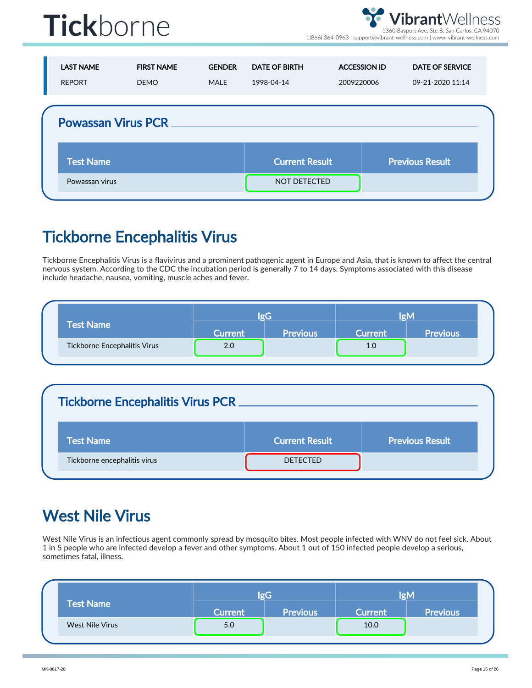

1(866) 364-0963 | support@vibrant-wellness.com | www. vibrant-wellness.com

| <b>LAST NAME</b><br><b>REPORT</b> | <b>FIRST NAME</b><br><b>DEMO</b> | <b>GENDER</b><br>MALE | <b>DATE OF BIRTH</b><br>1998-04-14 | <b>ACCESSION ID</b><br>2009220006 | <b>DATE OF SERVICE</b><br>09-21-2020 11:14 |
|-----------------------------------|----------------------------------|-----------------------|------------------------------------|-----------------------------------|--------------------------------------------|
| <b>Powassan Virus PCR __</b>      |                                  |                       |                                    |                                   |                                            |
| <b>Test Name</b>                  |                                  |                       | <b>Current Result</b>              |                                   | <b>Previous Result</b>                     |
| Powassan virus                    |                                  |                       | NOT DETECTED                       |                                   |                                            |

#### Tickborne Encephalitis Virus

Tickborne Encephalitis Virus is a flavivirus and a prominent pathogenic agent in Europe and Asia, that is known to affect the central nervous system. According to the CDC the incubation period is generally 7 to 14 days. Symptoms associated with this disease include headache, nausea, vomiting, muscle aches and fever.

|                              | l o l   |                 | ΙØΜ            |                 |
|------------------------------|---------|-----------------|----------------|-----------------|
| <b>Test Name</b>             | Current | <b>Previous</b> | <b>Current</b> | <b>Previous</b> |
| Tickborne Encephalitis Virus | 2.0     |                 | 1.0            |                 |

#### Tickborne Encephalitis Virus PCR

| <b>Test Name</b>             | <b>Current Result</b> | <b>Previous Result</b> |
|------------------------------|-----------------------|------------------------|
| Tickborne encephalitis virus | <b>DETECTED</b>       |                        |

#### West Nile Virus

West Nile Virus is an infectious agent commonly spread by mosquito bites. Most people infected with WNV do not feel sick. About 1 in 5 people who are infected develop a fever and other symptoms. About 1 out of 150 infected people develop a serious, sometimes fatal, illness.

|                  | lgG            |                 | IgM     |                 |
|------------------|----------------|-----------------|---------|-----------------|
| <b>Test Name</b> | <b>Current</b> | <b>Previous</b> | Current | <b>Previous</b> |
| West Nile Virus  | 5.0            |                 | 10.0    |                 |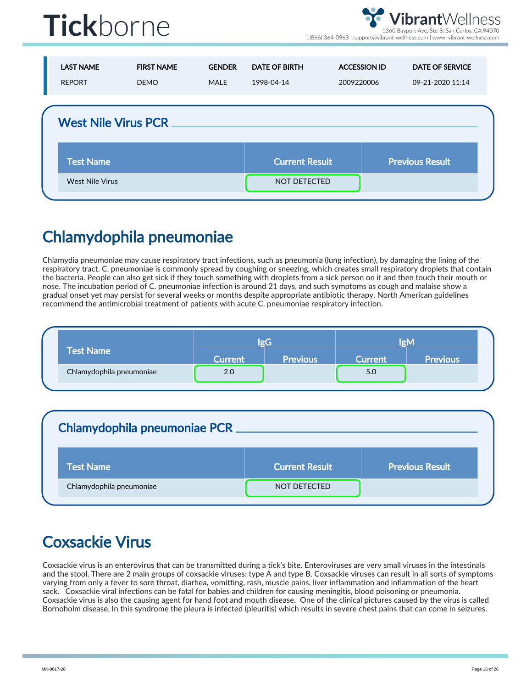

1(866) 364-0963 | support@vibrant-wellness.com | www. vibrant-wellness.com

| <b>LAST NAME</b><br><b>REPORT</b> | <b>FIRST NAME</b><br><b>DEMO</b> | <b>GENDER</b><br>MALE | <b>DATE OF BIRTH</b><br>1998-04-14 | <b>ACCESSION ID</b><br>2009220006 | <b>DATE OF SERVICE</b><br>09-21-2020 11:14 |
|-----------------------------------|----------------------------------|-----------------------|------------------------------------|-----------------------------------|--------------------------------------------|
| <b>West Nile Virus PCR</b>        |                                  |                       |                                    |                                   |                                            |
| <b>Test Name</b>                  |                                  |                       | <b>Current Result</b>              |                                   | <b>Previous Result</b>                     |
| <b>West Nile Virus</b>            |                                  |                       | <b>NOT DETECTED</b>                |                                   |                                            |

### Chlamydophila pneumoniae

Chlamydia pneumoniae may cause respiratory tract infections, such as pneumonia (lung infection), by damaging the lining of the respiratory tract. C. pneumoniae is commonly spread by coughing or sneezing, which creates small respiratory droplets that contain the bacteria. People can also get sick if they touch something with droplets from a sick person on it and then touch their mouth or nose. The incubation period of C. pneumoniae infection is around 21 days, and such symptoms as cough and malaise show a gradual onset yet may persist for several weeks or months despite appropriate antibiotic therapy. North American guidelines recommend the antimicrobial treatment of patients with acute C. pneumoniae respiratory infection.

|                          |                |                 |                | IØM             |  |
|--------------------------|----------------|-----------------|----------------|-----------------|--|
| <b>Test Name</b>         | <b>Current</b> | <b>Previous</b> | <b>Current</b> | <b>Previous</b> |  |
| Chlamydophila pneumoniae | 2.0            |                 | 5.0            |                 |  |

| <b>Chlamydophila pneumoniae PCR</b> |                       |                        |
|-------------------------------------|-----------------------|------------------------|
| <b>Test Name</b>                    | <b>Current Result</b> | <b>Previous Result</b> |
| Chlamydophila pneumoniae            | NOT DETECTED          |                        |

### Coxsackie Virus

Coxsackie virus is an enterovirus that can be transmitted during a tick's bite. Enteroviruses are very small viruses in the intestinals and the stool. There are 2 main groups of coxsackie viruses: type A and type B. Coxsackie viruses can result in all sorts of symptoms varying from only a fever to sore throat, diarhea, vomitting, rash, muscle pains, liver inflammation and inflammation of the heart sack. Coxsackie viral infections can be fatal for babies and children for causing meningitis, blood poisoning or pneumonia. Coxsackie virus is also the causing agent for hand foot and mouth disease. One of the clinical pictures caused by the virus is called Bornoholm disease. In this syndrome the pleura is infected (pleuritis) which results in severe chest pains that can come in seizures.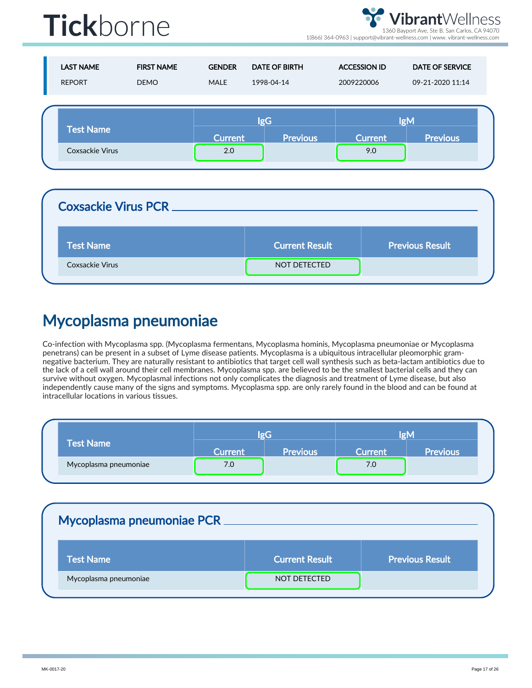**brant**Wellness 1360 Bayport Ave, Ste B. San Carlos, CA 94070

1(866) 364-0963 | support@vibrant-wellness.com | www. vibrant-wellness.com

| <b>LAST NAME</b><br><b>REPORT</b> | <b>FIRST NAME</b><br><b>DEMO</b> | <b>GENDER</b><br><b>MALE</b> | <b>DATE OF BIRTH</b><br>1998-04-14 | <b>ACCESSION ID</b><br>2009220006 | <b>DATE OF SERVICE</b><br>09-21-2020 11:14 |  |
|-----------------------------------|----------------------------------|------------------------------|------------------------------------|-----------------------------------|--------------------------------------------|--|
| <b>Test Name</b>                  |                                  | <b>Current</b>               | <b>IgG</b><br><b>Previous</b>      | <b>Current</b>                    | <b>IgM</b><br><b>Previous</b>              |  |
| <b>Coxsackie Virus</b>            |                                  | 2.0                          |                                    | 9.0                               |                                            |  |

| <b>Coxsackie Virus PCR</b> |                       |                        |
|----------------------------|-----------------------|------------------------|
| <b>Test Name</b>           | <b>Current Result</b> | <b>Previous Result</b> |
| <b>Coxsackie Virus</b>     | NOT DETECTED          |                        |

#### Mycoplasma pneumoniae

Co-infection with Mycoplasma spp. (Mycoplasma fermentans, Mycoplasma hominis, Mycoplasma pneumoniae or Mycoplasma penetrans) can be present in a subset of Lyme disease patients. Mycoplasma is a ubiquitous intracellular pleomorphic gramnegative bacterium. They are naturally resistant to antibiotics that target cell wall synthesis such as beta-lactam antibiotics due to the lack of a cell wall around their cell membranes. Mycoplasma spp. are believed to be the smallest bacterial cells and they can survive without oxygen. Mycoplasmal infections not only complicates the diagnosis and treatment of Lyme disease, but also independently cause many of the signs and symptoms. Mycoplasma spp. are only rarely found in the blood and can be found at intracellular locations in various tissues.

|                       | løG            |                 | løM     |                 |
|-----------------------|----------------|-----------------|---------|-----------------|
| Test Name             | <b>Current</b> | <b>Previous</b> | Current | <b>Previous</b> |
| Mycoplasma pneumoniae | 7.0            |                 | 7.0     |                 |

| <b>Current Result</b> | <b>Previous Result</b> |
|-----------------------|------------------------|
| NOT DETECTED          |                        |
|                       |                        |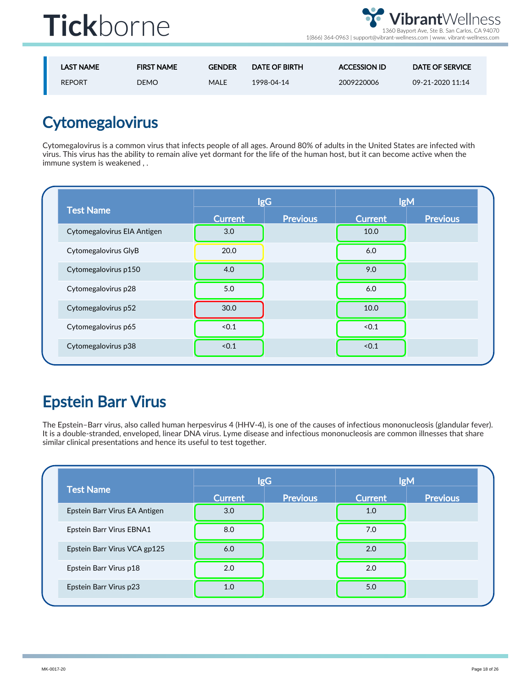

1(866) 364-0963 | support@vibrant-wellness.com | www. vibrant-wellness.com

| <b>LAST NAME</b> | <b>FIRST NAME</b> | <b>GENDER</b> | DATE OF BIRTH | <b>ACCESSION ID</b> | DATE OF SERVICE  |
|------------------|-------------------|---------------|---------------|---------------------|------------------|
| <b>REPORT</b>    | DEMO l            | MALE          | 1998-04-14    | 2009220006          | 09-21-2020 11:14 |

### **Cytomegalovirus**

Cytomegalovirus is a common virus that infects people of all ages. Around 80% of adults in the United States are infected with virus. This virus has the ability to remain alive yet dormant for the life of the human host, but it can become active when the immune system is weakened , .

|                             |                | <b>IgG</b>      | <b>IgM</b>     |                 |
|-----------------------------|----------------|-----------------|----------------|-----------------|
| <b>Test Name</b>            | <b>Current</b> | <b>Previous</b> | <b>Current</b> | <b>Previous</b> |
| Cytomegalovirus EIA Antigen | 3.0            |                 | 10.0           |                 |
| Cytomegalovirus GlyB        | 20.0           |                 | 6.0            |                 |
| Cytomegalovirus p150        | 4.0            |                 | 9.0            |                 |
| Cytomegalovirus p28         | 5.0            |                 | 6.0            |                 |
| Cytomegalovirus p52         | 30.0           |                 | 10.0           |                 |
| Cytomegalovirus p65         | < 0.1          |                 | < 0.1          |                 |
| Cytomegalovirus p38         | < 0.1          |                 | < 0.1          |                 |

#### Epstein Barr Virus

The Epstein–Barr virus, also called human herpesvirus 4 (HHV-4), is one of the causes of infectious mononucleosis (glandular fever). It is a double-stranded, enveloped, linear DNA virus. Lyme disease and infectious mononucleosis are common illnesses that share similar clinical presentations and hence its useful to test together.

| <b>Test Name</b>              | <b>IgG</b>     |                 | <b>IgM</b>     |          |
|-------------------------------|----------------|-----------------|----------------|----------|
|                               | <b>Current</b> | <b>Previous</b> | <b>Current</b> | Previous |
| Epstein Barr Virus EA Antigen | 3.0            |                 | 1.0            |          |
| Epstein Barr Virus EBNA1      | 8.0            |                 | 7.0            |          |
| Epstein Barr Virus VCA gp125  | 6.0            |                 | 2.0            |          |
| Epstein Barr Virus p18        | 2.0            |                 | 2.0            |          |
| Epstein Barr Virus p23        | 1.0            |                 | 5.0            |          |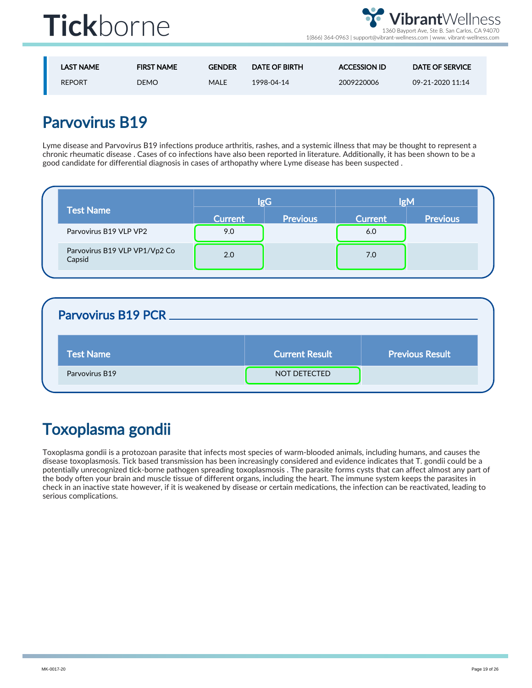



| <b>LAST NAME</b> | <b>FIRST NAME</b> | <b>GENDER</b> | DATE OF BIRTH | <b>ACCESSION ID</b> | <b>DATE OF SERVICE</b> |
|------------------|-------------------|---------------|---------------|---------------------|------------------------|
| <b>REPORT</b>    | <b>DEMO</b>       | MALE          | 1998-04-14    | 2009220006          | 09-21-2020 11:14       |

#### Parvovirus B19

Lyme disease and Parvovirus B19 infections produce arthritis, rashes, and a systemic illness that may be thought to represent a chronic rheumatic disease . Cases of co infections have also been reported in literature. Additionally, it has been shown to be a good candidate for differential diagnosis in cases of arthopathy where Lyme disease has been suspected .

| <b>Test Name</b>                        | <b>IgG</b>     |                 | lgM            |                 |
|-----------------------------------------|----------------|-----------------|----------------|-----------------|
|                                         | <b>Current</b> | <b>Previous</b> | <b>Current</b> | <b>Previous</b> |
| Parvovirus B19 VLP VP2                  | 9.0            |                 | 6.0            |                 |
| Parvovirus B19 VLP VP1/Vp2 Co<br>Capsid | 2.0            |                 | 7.0            |                 |

| Parvovirus B19 PCR |                       |                        |
|--------------------|-----------------------|------------------------|
| <b>Test Name</b>   | <b>Current Result</b> | <b>Previous Result</b> |
| Parvovirus B19     | NOT DETECTED          |                        |

### Toxoplasma gondii

Toxoplasma gondii is a protozoan parasite that infects most species of warm-blooded animals, including humans, and causes the disease toxoplasmosis. Tick based transmission has been increasingly considered and evidence indicates that T. gondii could be a potentially unrecognized tick-borne pathogen spreading toxoplasmosis . The parasite forms cysts that can affect almost any part of the body often your brain and muscle tissue of different organs, including the heart. The immune system keeps the parasites in check in an inactive state however, if it is weakened by disease or certain medications, the infection can be reactivated, leading to serious complications.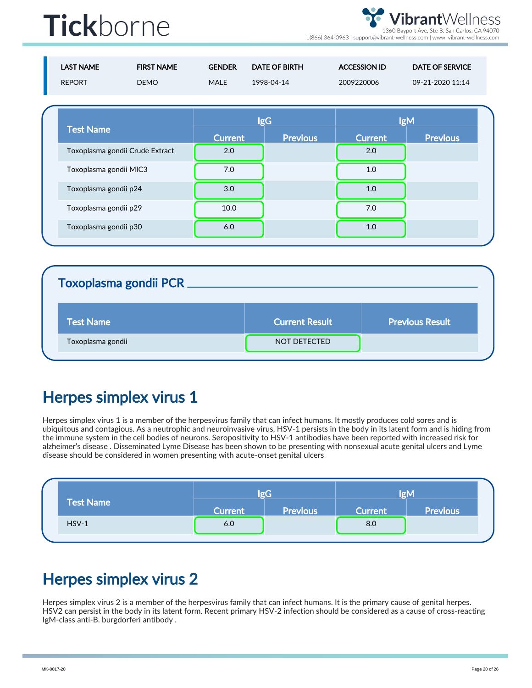**brant**Wellness 1360 Bayport Ave, Ste B. San Carlos, CA 94070

1(866) 364-0963 | support@vibrant-wellness.com | www. vibrant-wellness.com

| <b>LAST NAME</b><br><b>REPORT</b> | <b>FIRST NAME</b><br><b>DEMO</b> | <b>GENDER</b><br><b>MALE</b> | <b>DATE OF BIRTH</b><br>1998-04-14 | <b>ACCESSION ID</b><br>2009220006 | <b>DATE OF SERVICE</b><br>09-21-2020 11:14 |
|-----------------------------------|----------------------------------|------------------------------|------------------------------------|-----------------------------------|--------------------------------------------|
| <b>Test Name</b>                  |                                  |                              | <b>lgG</b><br><b>Previous</b>      | <b>Current</b>                    | <b>IgM</b><br><b>Previous</b>              |
|                                   | Toxoplasma gondii Crude Extract  | <b>Current</b><br>2.0        |                                    | 2.0                               |                                            |
| Toxoplasma gondii MIC3            |                                  | 7.0                          |                                    | 1.0                               |                                            |
| Toxoplasma gondii p24             |                                  | 3.0                          |                                    | 1.0                               |                                            |
| Toxoplasma gondii p29             |                                  | 10.0                         |                                    | 7.0                               |                                            |
| Toxoplasma gondii p30             |                                  | 6.0                          |                                    | 1.0                               |                                            |

#### Toxoplasma gondii PCR

| <b>Test Name</b>  | <b>Current Result</b> | <b>Previous Result</b> |
|-------------------|-----------------------|------------------------|
| Toxoplasma gondii | NOT DETECTED          |                        |

#### Herpes simplex virus 1

Herpes simplex virus 1 is a member of the herpesvirus family that can infect humans. It mostly produces cold sores and is ubiquitous and contagious. As a neutrophic and neuroinvasive virus, HSV-1 persists in the body in its latent form and is hiding from the immune system in the cell bodies of neurons. Seropositivity to HSV-1 antibodies have been reported with increased risk for alzheimer's disease . Disseminated Lyme Disease has been shown to be presenting with nonsexual acute genital ulcers and Lyme disease should be considered in women presenting with acute-onset genital ulcers

| <b>Test Name</b> | lgG            |                 | <b>IgM</b>     |                 |
|------------------|----------------|-----------------|----------------|-----------------|
|                  | <b>Current</b> | <b>Previous</b> | <b>Current</b> | <b>Previous</b> |
| $HSV-1$          | 6.0            |                 | 8.0            |                 |

#### Herpes simplex virus 2

Herpes simplex virus 2 is a member of the herpesvirus family that can infect humans. It is the primary cause of genital herpes. HSV2 can persist in the body in its latent form. Recent primary HSV-2 infection should be considered as a cause of cross-reacting IgM-class anti-B. burgdorferi antibody .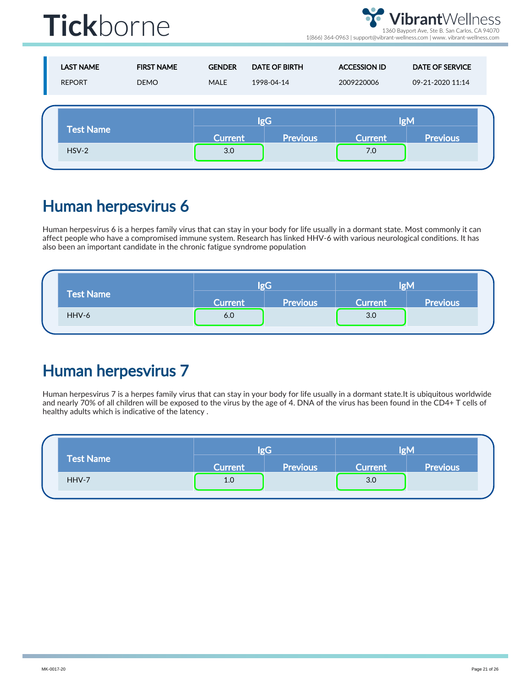**brant**Wellness 1360 Bayport Ave, Ste B. San Carlos, CA 94070

1(866) 364-0963 | support@vibrant-wellness.com | www. vibrant-wellness.com

| <b>LAST NAME</b><br><b>REPORT</b> | <b>FIRST NAME</b><br><b>DEMO</b> | <b>GENDER</b><br><b>MALE</b> | <b>DATE OF BIRTH</b><br>1998-04-14 | <b>ACCESSION ID</b><br>2009220006 | <b>DATE OF SERVICE</b><br>09-21-2020 11:14 |
|-----------------------------------|----------------------------------|------------------------------|------------------------------------|-----------------------------------|--------------------------------------------|
| <b>Test Name</b>                  |                                  | <b>lgG</b>                   |                                    |                                   | <b>IgM</b>                                 |
| $HSV-2$                           |                                  | <b>Current</b><br>3.0        | <b>Previous</b>                    | <b>Current</b><br>7.0             | <b>Previous</b>                            |

#### Human herpesvirus 6

Human herpesvirus 6 is a herpes family virus that can stay in your body for life usually in a dormant state. Most commonly it can affect people who have a compromised immune system. Research has linked HHV-6 with various neurological conditions. It has also been an important candidate in the chronic fatigue syndrome population

| <b>Test Name</b> |                | lor <sub>0</sub> | lgM            |                 |  |
|------------------|----------------|------------------|----------------|-----------------|--|
|                  | <b>Current</b> | <b>Previous</b>  | <b>Current</b> | <b>Previous</b> |  |
| HHV-6            | 6.0            |                  | 3.0            |                 |  |

### Human herpesvirus 7

Human herpesvirus 7 is a herpes family virus that can stay in your body for life usually in a dormant state.It is ubiquitous worldwide and nearly 70% of all children will be exposed to the virus by the age of 4. DNA of the virus has been found in the CD4+ T cells of healthy adults which is indicative of the latency .

|  | <b>Test Name</b> |                | lgG             | <b>IgM</b>     |                 |  |
|--|------------------|----------------|-----------------|----------------|-----------------|--|
|  |                  | <b>Current</b> | <b>Previous</b> | <b>Current</b> | <b>Previous</b> |  |
|  | HHV-7            | 1.0            |                 | 3.0            |                 |  |
|  |                  |                |                 |                |                 |  |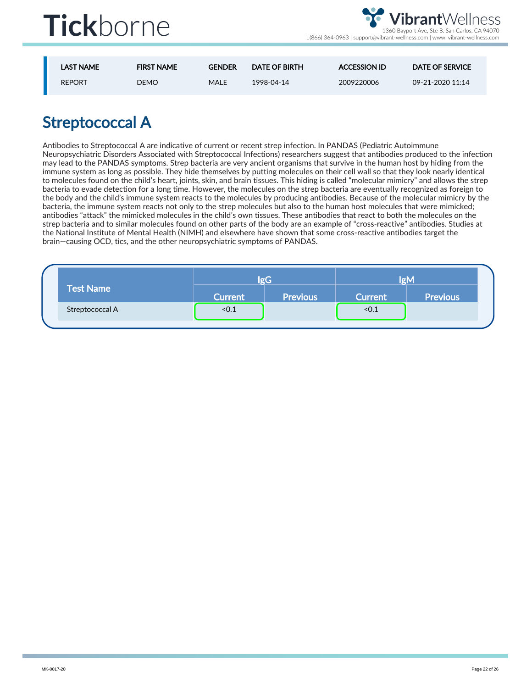

| <b>LAST NAME</b> | <b>FIRST NAME</b> | <b>GENDER</b> | DATE OF BIRTH | <b>ACCESSION ID</b> | <b>DATE OF SERVICE</b> |
|------------------|-------------------|---------------|---------------|---------------------|------------------------|
| <b>REPORT</b>    | <b>DEMO</b>       | MALE          | 1998-04-14    | 2009220006          | 09-21-2020 11:14       |

### Streptococcal A

Antibodies to Streptococcal A are indicative of current or recent strep infection. In PANDAS (Pediatric Autoimmune Neuropsychiatric Disorders Associated with Streptococcal Infections) researchers suggest that antibodies produced to the infection may lead to the PANDAS symptoms. Strep bacteria are very ancient organisms that survive in the human host by hiding from the immune system as long as possible. They hide themselves by putting molecules on their cell wall so that they look nearly identical to molecules found on the child's heart, joints, skin, and brain tissues. This hiding is called "molecular mimicry" and allows the strep bacteria to evade detection for a long time. However, the molecules on the strep bacteria are eventually recognized as foreign to the body and the child's immune system reacts to the molecules by producing antibodies. Because of the molecular mimicry by the bacteria, the immune system reacts not only to the strep molecules but also to the human host molecules that were mimicked; antibodies "attack" the mimicked molecules in the child's own tissues. These antibodies that react to both the molecules on the strep bacteria and to similar molecules found on other parts of the body are an example of "cross-reactive" antibodies. Studies at the National Institute of Mental Health (NIMH) and elsewhere have shown that some cross-reactive antibodies target the brain—causing OCD, tics, and the other neuropsychiatric symptoms of PANDAS.

|                  | $  \sigma C$   |                 | lgM            |                 |
|------------------|----------------|-----------------|----------------|-----------------|
| <b>Test Name</b> | <b>Current</b> | <b>Previous</b> | <b>Current</b> | <b>Previous</b> |
| Streptococcal A  | < 0.1          |                 | < 0.1          |                 |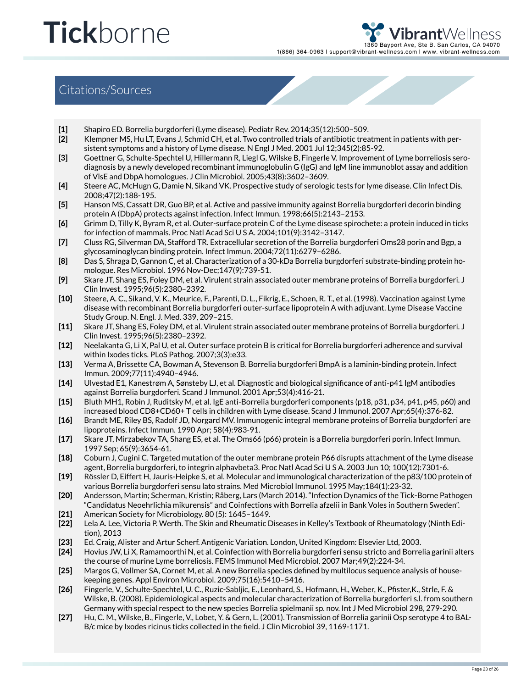**brant**Wellness  $\overline{60}$  Bayport Ave, Ste B. San Carlos, CA 94070 1(866) 364-0963 | support@vibrant-wellness.com | www. vibrant-wellness.com

#### Citations/Sources

- [1] Shapiro ED. Borrelia burgdorferi (Lyme disease). Pediatr Rev. 2014;35(12):500–509.
- [2] Klempner MS, Hu LT, Evans J, Schmid CH, et al. Two controlled trials of antibiotic treatment in patients with persistent symptoms and a history of Lyme disease. N Engl J Med. 2001 Jul 12;345(2):85-92.
- [3] Goettner G, Schulte-Spechtel U, Hillermann R, Liegl G, Wilske B, Fingerle V. Improvement of Lyme borreliosis serodiagnosis by a newly developed recombinant immunoglobulin G (IgG) and IgM line immunoblot assay and addition of VlsE and DbpA homologues. J Clin Microbiol. 2005;43(8):3602–3609.
- [4] Steere AC, McHugn G, Damie N, Sikand VK. Prospective study of serologic tests for lyme disease. Clin Infect Dis. 2008;47(2):188-195.
- [5] Hanson MS, Cassatt DR, Guo BP, et al. Active and passive immunity against Borrelia burgdorferi decorin binding protein A (DbpA) protects against infection. Infect Immun. 1998;66(5):2143–2153.
- [6] Grimm D, Tilly K, Byram R, et al. Outer-surface protein C of the Lyme disease spirochete: a protein induced in ticks for infection of mammals. Proc Natl Acad Sci U S A. 2004;101(9):3142–3147.
- [7] Cluss RG, Silverman DA, Stafford TR. Extracellular secretion of the Borrelia burgdorferi Oms28 porin and Bgp, a glycosaminoglycan binding protein. Infect Immun. 2004;72(11):6279–6286.
- [8] Das S, Shraga D, Gannon C, et al. Characterization of a 30-kDa Borrelia burgdorferi substrate-binding protein homologue. Res Microbiol. 1996 Nov-Dec;147(9):739-51.
- [9] Skare JT, Shang ES, Foley DM, et al. Virulent strain associated outer membrane proteins of Borrelia burgdorferi. J Clin Invest. 1995;96(5):2380–2392.
- [10] Steere, A. C., Sikand, V. K., Meurice, F., Parenti, D. L., Fikrig, E., Schoen, R. T., et al. (1998). Vaccination against Lyme disease with recombinant Borrelia burgdorferi outer-surface lipoprotein A with adjuvant. Lyme Disease Vaccine Study Group. N. Engl. J. Med. 339, 209–215.
- [11] Skare JT, Shang ES, Foley DM, et al. Virulent strain associated outer membrane proteins of Borrelia burgdorferi. J Clin Invest. 1995;96(5):2380–2392.
- [12] Neelakanta G, Li X, Pal U, et al. Outer surface protein B is critical for Borrelia burgdorferi adherence and survival within Ixodes ticks. PLoS Pathog. 2007;3(3):e33.
- [13] Verma A, Brissette CA, Bowman A, Stevenson B. Borrelia burgdorferi BmpA is a laminin-binding protein. Infect Immun. 2009;77(11):4940–4946.
- [14] Ulvestad E1, Kanestrøm A, Sønsteby LJ, et al. Diagnostic and biological significance of anti-p41 IgM antibodies against Borrelia burgdorferi. Scand J Immunol. 2001 Apr;53(4):416-21.
- [15] Bluth MH1, Robin J, Ruditsky M, et al. IgE anti-Borrelia burgdorferi components (p18, p31, p34, p41, p45, p60) and increased blood CD8+CD60+ T cells in children with Lyme disease. Scand J Immunol. 2007 Apr;65(4):376-82.
- [16] Brandt ME, Riley BS, Radolf JD, Norgard MV. Immunogenic integral membrane proteins of Borrelia burgdorferi are lipoproteins. Infect Immun. 1990 Apr; 58(4):983-91.
- [17] Skare JT, Mirzabekov TA, Shang ES, et al. The Oms66 (p66) protein is a Borrelia burgdorferi porin. Infect Immun. 1997 Sep; 65(9):3654-61.
- [18] Coburn J, Cugini C. Targeted mutation of the outer membrane protein P66 disrupts attachment of the Lyme disease agent, Borrelia burgdorferi, to integrin alphavbeta3. Proc Natl Acad Sci U S A. 2003 Jun 10; 100(12):7301-6.
- [19] Rössler D, Eiffert H, Jauris-Heipke S, et al. Molecular and immunological characterization of the p83/100 protein of various Borrelia burgdorferi sensu lato strains. Med Microbiol Immunol. 1995 May;184(1):23-32.
- [20] Andersson, Martin; Scherman, Kristin; Råberg, Lars (March 2014). "Infection Dynamics of the Tick-Borne Pathogen "Candidatus Neoehrlichia mikurensis" and Coinfections with Borrelia afzelii in Bank Voles in Southern Sweden".
- [21] American Society for Microbiology. 80 (5): 1645–1649.
- [22] Lela A. Lee, Victoria P. Werth. The Skin and Rheumatic Diseases in Kelley's Textbook of Rheumatology (Ninth Edition), 2013
- [23] Ed. Craig, Alister and Artur Scherf. Antigenic Variation. London, United Kingdom: Elsevier Ltd, 2003.
- [24] Hovius JW, Li X, Ramamoorthi N, et al. Coinfection with Borrelia burgdorferi sensu stricto and Borrelia garinii alters the course of murine Lyme borreliosis. FEMS Immunol Med Microbiol. 2007 Mar;49(2):224-34.
- [25] Margos G, Vollmer SA, Cornet M, et al. A new Borrelia species defined by multilocus sequence analysis of housekeeping genes. Appl Environ Microbiol. 2009;75(16):5410–5416.
- [26] Fingerle, V., Schulte-Spechtel, U. C., Ruzic-Sabljic, E., Leonhard, S., Hofmann, H., Weber, K., Pfister,K., Strle, F. & Wilske, B. (2008). Epidemiological aspects and molecular characterization of Borrelia burgdorferi s.l. from southern Germany with special respect to the new species Borrelia spielmanii sp. nov. Int J Med Microbiol 298, 279-290.
- [27] Hu, C. M., Wilske, B., Fingerle, V., Lobet, Y. & Gern, L. (2001). Transmission of Borrelia garinii Osp serotype 4 to BAL-B/c mice by Ixodes ricinus ticks collected in the field. J Clin Microbiol 39, 1169-1171.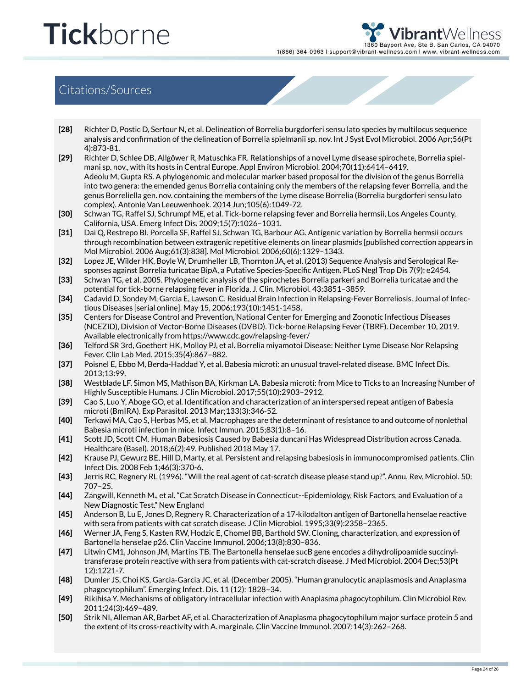**brant**Wellness 50 Bayport Ave, Ste B. San Carlos, CA 94070 1(866) 364-0963 | support@vibrant-wellness.com | www. vibrant-wellness.com

#### Citations/Sources

- [28] Richter D, Postic D, Sertour N, et al. Delineation of Borrelia burgdorferi sensu lato species by multilocus sequence analysis and confirmation of the delineation of Borrelia spielmanii sp. nov. Int J Syst Evol Microbiol. 2006 Apr;56(Pt 4):873-81.
- [29] Richter D, Schlee DB, Allgöwer R, Matuschka FR. Relationships of a novel Lyme disease spirochete, Borrelia spielmani sp. nov., with its hosts in Central Europe. Appl Environ Microbiol. 2004;70(11):6414–6419. Adeolu M, Gupta RS. A phylogenomic and molecular marker based proposal for the division of the genus Borrelia into two genera: the emended genus Borrelia containing only the members of the relapsing fever Borrelia, and the genus Borreliella gen. nov. containing the members of the Lyme disease Borrelia (Borrelia burgdorferi sensu lato complex). Antonie Van Leeuwenhoek. 2014 Jun;105(6):1049-72.
- [30] Schwan TG, Raffel SJ, Schrumpf ME, et al. Tick-borne relapsing fever and Borrelia hermsii, Los Angeles County, California, USA. Emerg Infect Dis. 2009;15(7):1026–1031.
- [31] Dai Q, Restrepo BI, Porcella SF, Raffel SJ, Schwan TG, Barbour AG. Antigenic variation by Borrelia hermsii occurs through recombination between extragenic repetitive elements on linear plasmids [published correction appears in Mol Microbiol. 2006 Aug;61(3):838]. Mol Microbiol. 2006;60(6):1329–1343.
- [32] Lopez JE, Wilder HK, Boyle W, Drumheller LB, Thornton JA, et al. (2013) Sequence Analysis and Serological Responses against Borrelia turicatae BipA, a Putative Species-Specific Antigen. PLoS Negl Trop Dis 7(9): e2454.
- [33] Schwan TG, et al. 2005. Phylogenetic analysis of the spirochetes Borrelia parkeri and Borrelia turicatae and the potential for tick-borne relapsing fever in Florida. J. Clin. Microbiol. 43:3851–3859.
- [34] Cadavid D, Sondey M, Garcia E, Lawson C. Residual Brain Infection in Relapsing-Fever Borreliosis. Journal of Infectious Diseases [serial online]. May 15, 2006;193(10):1451-1458.
- [35] Centers for Disease Control and Prevention, National Center for Emerging and Zoonotic Infectious Diseases (NCEZID), Division of Vector-Borne Diseases (DVBD). Tick-borne Relapsing Fever (TBRF). December 10, 2019. Available electronically from https://www.cdc.gov/relapsing-fever/
- [36] Telford SR 3rd, Goethert HK, Molloy PJ, et al. Borrelia miyamotoi Disease: Neither Lyme Disease Nor Relapsing Fever. Clin Lab Med. 2015;35(4):867–882.
- [37] Poisnel E, Ebbo M, Berda-Haddad Y, et al. Babesia microti: an unusual travel-related disease. BMC Infect Dis. 2013;13:99.
- [38] Westblade LF, Simon MS, Mathison BA, Kirkman LA. Babesia microti: from Mice to Ticks to an Increasing Number of Highly Susceptible Humans. J Clin Microbiol. 2017;55(10):2903–2912.
- [39] Cao S, Luo Y, Aboge GO, et al. Identification and characterization of an interspersed repeat antigen of Babesia microti (BmIRA). Exp Parasitol. 2013 Mar;133(3):346-52.
- [40] Terkawi MA, Cao S, Herbas MS, et al. Macrophages are the determinant of resistance to and outcome of nonlethal Babesia microti infection in mice. Infect Immun. 2015;83(1):8–16.
- [41] Scott JD, Scott CM. Human Babesiosis Caused by Babesia duncani Has Widespread Distribution across Canada. Healthcare (Basel). 2018;6(2):49. Published 2018 May 17.
- [42] Krause PJ, Gewurz BE, Hill D, Marty, et al. Persistent and relapsing babesiosis in immunocompromised patients. Clin Infect Dis. 2008 Feb 1;46(3):370-6.
- [43] Jerris RC, Regnery RL (1996). "Will the real agent of cat-scratch disease please stand up?". Annu. Rev. Microbiol. 50: 707–25.
- [44] Zangwill, Kenneth M., et al. "Cat Scratch Disease in Connecticut--Epidemiology, Risk Factors, and Evaluation of a New Diagnostic Test." New England
- [45] Anderson B, Lu E, Jones D, Regnery R. Characterization of a 17-kilodalton antigen of Bartonella henselae reactive with sera from patients with cat scratch disease. J Clin Microbiol. 1995;33(9):2358–2365.
- [46] Werner JA, Feng S, Kasten RW, Hodzic E, Chomel BB, Barthold SW. Cloning, characterization, and expression of Bartonella henselae p26. Clin Vaccine Immunol. 2006;13(8):830–836.
- [47] Litwin CM1, Johnson JM, Martins TB. The Bartonella henselae sucB gene encodes a dihydrolipoamide succinyltransferase protein reactive with sera from patients with cat-scratch disease. J Med Microbiol. 2004 Dec;53(Pt 12):1221-7.
- [48] Dumler JS, Choi KS, Garcia-Garcia JC, et al. (December 2005). "Human granulocytic anaplasmosis and Anaplasma phagocytophilum". Emerging Infect. Dis. 11 (12): 1828–34.
- [49] Rikihisa Y. Mechanisms of obligatory intracellular infection with Anaplasma phagocytophilum. Clin Microbiol Rev. 2011;24(3):469–489.
- [50] Strik NI, Alleman AR, Barbet AF, et al. Characterization of Anaplasma phagocytophilum major surface protein 5 and the extent of its cross-reactivity with A. marginale. Clin Vaccine Immunol. 2007;14(3):262–268.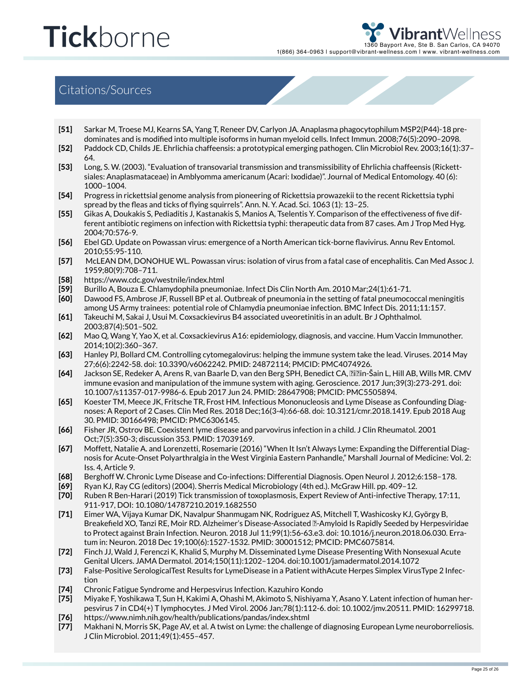hrant∀ 50 Bayport Ave, Ste B. San Carlos, CA 94070 1(866) 364-0963 | support@vibrant-wellness.com | www. vibrant-wellness.com

#### Citations/Sources

- [51] Sarkar M, Troese MJ, Kearns SA, Yang T, Reneer DV, Carlyon JA. Anaplasma phagocytophilum MSP2(P44)-18 predominates and is modified into multiple isoforms in human myeloid cells. Infect Immun. 2008;76(5):2090–2098.
- [52] Paddock CD, Childs JE. Ehrlichia chaffeensis: a prototypical emerging pathogen. Clin Microbiol Rev. 2003;16(1):37– 64.
- [53] Long, S. W. (2003). "Evaluation of transovarial transmission and transmissibility of Ehrlichia chaffeensis (Rickettsiales: Anaplasmataceae) in Amblyomma americanum (Acari: Ixodidae)". Journal of Medical Entomology. 40 (6): 1000–1004.
- [54] Progress in rickettsial genome analysis from pioneering of Rickettsia prowazekii to the recent Rickettsia typhi spread by the fleas and ticks of flying squirrels". Ann. N. Y. Acad. Sci. 1063 (1): 13–25.
- [55] Gikas A, Doukakis S, Pediaditis J, Kastanakis S, Manios A, Tselentis Y. Comparison of the effectiveness of five different antibiotic regimens on infection with Rickettsia typhi: therapeutic data from 87 cases. Am J Trop Med Hyg. 2004;70:576-9.
- [56] Ebel GD. Update on Powassan virus: emergence of a North American tick-borne flavivirus. Annu Rev Entomol. 2010;55:95-110.
- [57] McLEAN DM, DONOHUE WL. Powassan virus: isolation of virus from a fatal case of encephalitis. Can Med Assoc J. 1959;80(9):708–711.
- [58] https://www.cdc.gov/westnile/index.html
- [59] Burillo A, Bouza E. Chlamydophila pneumoniae. Infect Dis Clin North Am. 2010 Mar;24(1):61-71.
- [60] Dawood FS, Ambrose JF, Russell BP et al. Outbreak of pneumonia in the setting of fatal pneumococcal meningitis among US Army trainees: potential role of Chlamydia pneumoniae infection. BMC Infect Dis. 2011;11:157.
- [61] Takeuchi M, Sakai J, Usui M. Coxsackievirus B4 associated uveoretinitis in an adult. Br J Ophthalmol. 2003;87(4):501–502.
- [62] Mao Q, Wang Y, Yao X, et al. Coxsackievirus A16: epidemiology, diagnosis, and vaccine. Hum Vaccin Immunother. 2014;10(2):360–367.
- [63] Hanley PJ, Bollard CM. Controlling cytomegalovirus: helping the immune system take the lead. Viruses. 2014 May 27;6(6):2242-58. doi: 10.3390/v6062242. PMID: 24872114; PMCID: PMC4074926.
- [64] Jackson SE, Redeker A, Arens R, van Baarle D, van den Berg SPH, Benedict CA, Čičin-Šain L, Hill AB, Wills MR. CMV immune evasion and manipulation of the immune system with aging. Geroscience. 2017 Jun;39(3):273-291. doi: 10.1007/s11357-017-9986-6. Epub 2017 Jun 24. PMID: 28647908; PMCID: PMC5505894.
- [65] Koester TM, Meece JK, Fritsche TR, Frost HM. Infectious Mononucleosis and Lyme Disease as Confounding Diagnoses: A Report of 2 Cases. Clin Med Res. 2018 Dec;16(3-4):66-68. doi: 10.3121/cmr.2018.1419. Epub 2018 Aug 30. PMID: 30166498; PMCID: PMC6306145.
- [66] Fisher JR, Ostrov BE. Coexistent lyme disease and parvovirus infection in a child. J Clin Rheumatol. 2001 Oct;7(5):350-3; discussion 353. PMID: 17039169.
- [67] Moffett, Natalie A. and Lorenzetti, Rosemarie (2016) "When It Isn't Always Lyme: Expanding the Differential Diagnosis for Acute-Onset Polyarthralgia in the West Virginia Eastern Panhandle," Marshall Journal of Medicine: Vol. 2: Iss. 4, Article 9.
- [68] Berghoff W. Chronic Lyme Disease and Co-infections: Differential Diagnosis. Open Neurol J. 2012;6:158–178.
- [69] Ryan KJ, Ray CG (editors) (2004). Sherris Medical Microbiology (4th ed.). McGraw Hill. pp. 409–12.
- [70] Ruben R Ben-Harari (2019) Tick transmission of toxoplasmosis, Expert Review of Anti-infective Therapy, 17:11, 911-917, DOI: 10.1080/14787210.2019.1682550
- [71] Eimer WA, Vijaya Kumar DK, Navalpur Shanmugam NK, Rodriguez AS, Mitchell T, Washicosky KJ, György B, Breakefield XO, Tanzi RE, Moir RD. Alzheimer's Disease-Associated β-Amyloid Is Rapidly Seeded by Herpesviridae to Protect against Brain Infection. Neuron. 2018 Jul 11;99(1):56-63.e3. doi: 10.1016/j.neuron.2018.06.030. Erratum in: Neuron. 2018 Dec 19;100(6):1527-1532. PMID: 30001512; PMCID: PMC6075814.
- [72] Finch JJ, Wald J, Ferenczi K, Khalid S, Murphy M. Disseminated Lyme Disease Presenting With Nonsexual Acute Genital Ulcers. JAMA Dermatol. 2014;150(11):1202–1204. doi:10.1001/jamadermatol.2014.1072
- [73] False-Positive SerologicalTest Results for LymeDisease in a Patient withAcute Herpes Simplex VirusType 2 Infection
- [74] Chronic Fatigue Syndrome and Herpesvirus Infection. Kazuhiro Kondo
- [75] [76] Miyake F, Yoshikawa T, Sun H, Kakimi A, Ohashi M, Akimoto S, Nishiyama Y, Asano Y. Latent infection of human herpesvirus 7 in CD4(+) T lymphocytes. J Med Virol. 2006 Jan;78(1):112-6. doi: 10.1002/jmv.20511. PMID: 16299718. https://www.nimh.nih.gov/health/publications/pandas/index.shtml
- [77]
- Makhani N, Morris SK, Page AV, et al. A twist on Lyme: the challenge of diagnosing European Lyme neuroborreliosis. J Clin Microbiol. 2011;49(1):455–457.